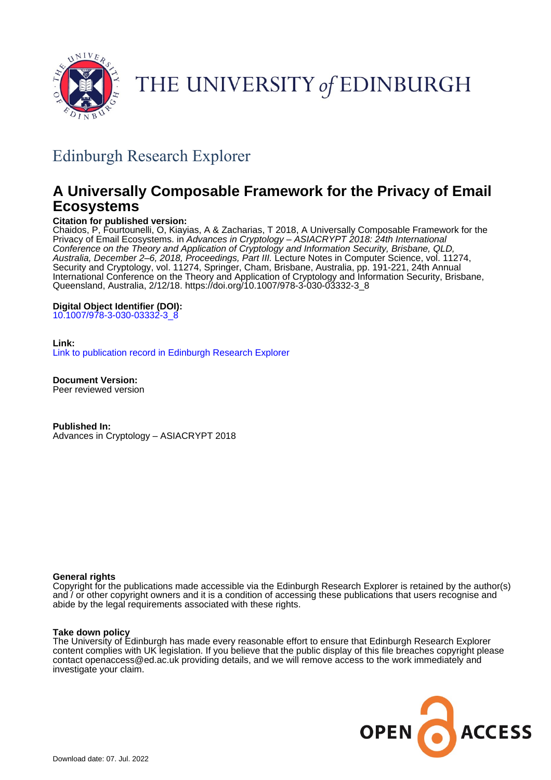

THE UNIVERSITY of EDINBURGH

# Edinburgh Research Explorer

## **A Universally Composable Framework for the Privacy of Email Ecosystems**

## **Citation for published version:**

Chaidos, P, Fourtounelli, O, Kiayias, A & Zacharias, T 2018, A Universally Composable Framework for the Privacy of Email Ecosystems. in Advances in Cryptology – ASIACRYPT 2018: 24th International Conference on the Theory and Application of Cryptology and Information Security, Brisbane, QLD, Australia, December 2–6, 2018, Proceedings, Part III. Lecture Notes in Computer Science, vol. 11274, Security and Cryptology, vol. 11274, Springer, Cham, Brisbane, Australia, pp. 191-221, 24th Annual International Conference on the Theory and Application of Cryptology and Information Security, Brisbane, Queensland, Australia, 2/12/18. [https://doi.org/10.1007/978-3-030-03332-3\\_8](https://doi.org/10.1007/978-3-030-03332-3_8)

## **Digital Object Identifier (DOI):**

[10.1007/978-3-030-03332-3\\_8](https://doi.org/10.1007/978-3-030-03332-3_8)

**Link:** [Link to publication record in Edinburgh Research Explorer](https://www.research.ed.ac.uk/en/publications/70a7310e-cb13-4eb0-be54-fd1e562fa749)

**Document Version:** Peer reviewed version

**Published In:** Advances in Cryptology – ASIACRYPT 2018

## **General rights**

Copyright for the publications made accessible via the Edinburgh Research Explorer is retained by the author(s) and / or other copyright owners and it is a condition of accessing these publications that users recognise and abide by the legal requirements associated with these rights.

## **Take down policy**

The University of Edinburgh has made every reasonable effort to ensure that Edinburgh Research Explorer content complies with UK legislation. If you believe that the public display of this file breaches copyright please contact openaccess@ed.ac.uk providing details, and we will remove access to the work immediately and investigate your claim.

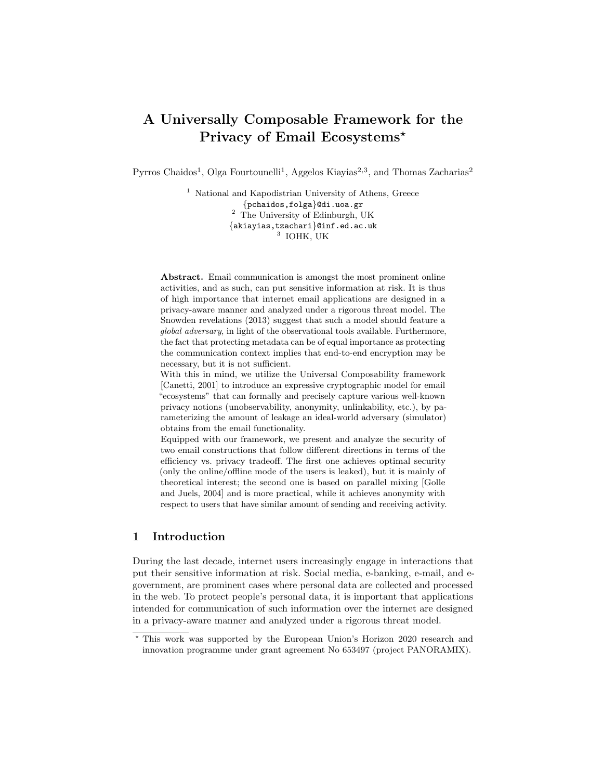## A Universally Composable Framework for the Privacy of Email Ecosystems\*

Pyrros Chaidos<sup>1</sup>, Olga Fourtounelli<sup>1</sup>, Aggelos Kiayias<sup>2,3</sup>, and Thomas Zacharias<sup>2</sup>

<sup>1</sup> National and Kapodistrian University of Athens, Greece {pchaidos,folga}@di.uoa.gr <sup>2</sup> The University of Edinburgh, UK {akiayias,tzachari}@inf.ed.ac.uk 3 IOHK, UK

Abstract. Email communication is amongst the most prominent online activities, and as such, can put sensitive information at risk. It is thus of high importance that internet email applications are designed in a privacy-aware manner and analyzed under a rigorous threat model. The Snowden revelations (2013) suggest that such a model should feature a global adversary, in light of the observational tools available. Furthermore, the fact that protecting metadata can be of equal importance as protecting the communication context implies that end-to-end encryption may be necessary, but it is not sufficient.

With this in mind, we utilize the Universal Composability framework [Canetti, 2001] to introduce an expressive cryptographic model for email "ecosystems" that can formally and precisely capture various well-known privacy notions (unobservability, anonymity, unlinkability, etc.), by parameterizing the amount of leakage an ideal-world adversary (simulator) obtains from the email functionality.

Equipped with our framework, we present and analyze the security of two email constructions that follow different directions in terms of the efficiency vs. privacy tradeoff. The first one achieves optimal security (only the online/offline mode of the users is leaked), but it is mainly of theoretical interest; the second one is based on parallel mixing [Golle and Juels, 2004] and is more practical, while it achieves anonymity with respect to users that have similar amount of sending and receiving activity.

## 1 Introduction

During the last decade, internet users increasingly engage in interactions that put their sensitive information at risk. Social media, e-banking, e-mail, and egovernment, are prominent cases where personal data are collected and processed in the web. To protect people's personal data, it is important that applications intended for communication of such information over the internet are designed in a privacy-aware manner and analyzed under a rigorous threat model.

<sup>⋆</sup> This work was supported by the European Union's Horizon 2020 research and innovation programme under grant agreement No 653497 (project PANORAMIX).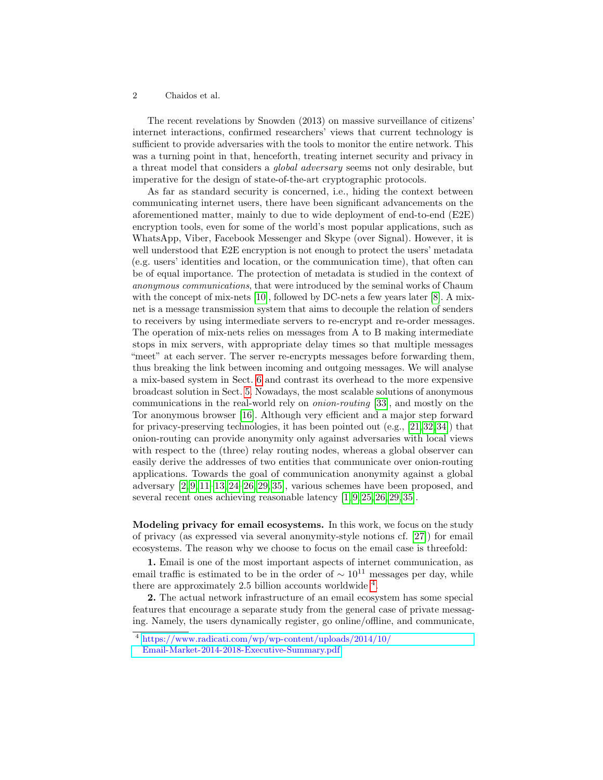The recent revelations by Snowden (2013) on massive surveillance of citizens' internet interactions, confirmed researchers' views that current technology is sufficient to provide adversaries with the tools to monitor the entire network. This was a turning point in that, henceforth, treating internet security and privacy in a threat model that considers a global adversary seems not only desirable, but imperative for the design of state-of-the-art cryptographic protocols.

As far as standard security is concerned, i.e., hiding the context between communicating internet users, there have been significant advancements on the aforementioned matter, mainly to due to wide deployment of end-to-end (E2E) encryption tools, even for some of the world's most popular applications, such as WhatsApp, Viber, Facebook Messenger and Skype (over Signal). However, it is well understood that E2E encryption is not enough to protect the users' metadata (e.g. users' identities and location, or the communication time), that often can be of equal importance. The protection of metadata is studied in the context of anonymous communications, that were introduced by the seminal works of Chaum with the concept of mix-nets [\[10\]](#page-32-0), followed by DC-nets a few years later [\[8\]](#page-32-1). A mixnet is a message transmission system that aims to decouple the relation of senders to receivers by using intermediate servers to re-encrypt and re-order messages. The operation of mix-nets relies on messages from A to B making intermediate stops in mix servers, with appropriate delay times so that multiple messages "meet" at each server. The server re-encrypts messages before forwarding them, thus breaking the link between incoming and outgoing messages. We will analyse a mix-based system in Sect. [6](#page-25-0) and contrast its overhead to the more expensive broadcast solution in Sect. [5.](#page-18-0) Nowadays, the most scalable solutions of anonymous communications in the real-world rely on onion-routing [\[33\]](#page-33-0), and mostly on the Tor anonymous browser [\[16\]](#page-32-2). Although very efficient and a major step forward for privacy-preserving technologies, it has been pointed out (e.g., [\[21,](#page-33-1) [32,](#page-33-2) [34\]](#page-33-3)) that onion-routing can provide anonymity only against adversaries with local views with respect to the (three) relay routing nodes, whereas a global observer can easily derive the addresses of two entities that communicate over onion-routing applications. Towards the goal of communication anonymity against a global adversary [\[2,](#page-32-3) [9,](#page-32-4) [11–](#page-32-5)[13,](#page-32-6) [24–](#page-33-4)[26,](#page-33-5) [29,](#page-33-6) [35\]](#page-33-7), various schemes have been proposed, and several recent ones achieving reasonable latency [\[1,](#page-32-7) [9,](#page-32-4) [25,](#page-33-8) [26,](#page-33-5) [29,](#page-33-6) [35\]](#page-33-7).

Modeling privacy for email ecosystems. In this work, we focus on the study of privacy (as expressed via several anonymity-style notions cf. [\[27\]](#page-33-9)) for email ecosystems. The reason why we choose to focus on the email case is threefold:

1. Email is one of the most important aspects of internet communication, as email traffic is estimated to be in the order of  $\sim 10^{11}$  messages per day, while there are approximately 2.5 billion accounts worldwide  $4$ .

2. The actual network infrastructure of an email ecosystem has some special features that encourage a separate study from the general case of private messaging. Namely, the users dynamically register, go online/offline, and communicate,

<span id="page-2-0"></span><sup>4</sup> [https://www.radicati.com/wp/wp-content/uploads/2014/10/](https://www.radicati.com/wp/wp-content/uploads/2014/10/Email-Market-2014-2018-Executive-Summary.pdf)

[Email-Market-2014-2018-Executive-Summary.pdf](https://www.radicati.com/wp/wp-content/uploads/2014/10/Email-Market-2014-2018-Executive-Summary.pdf)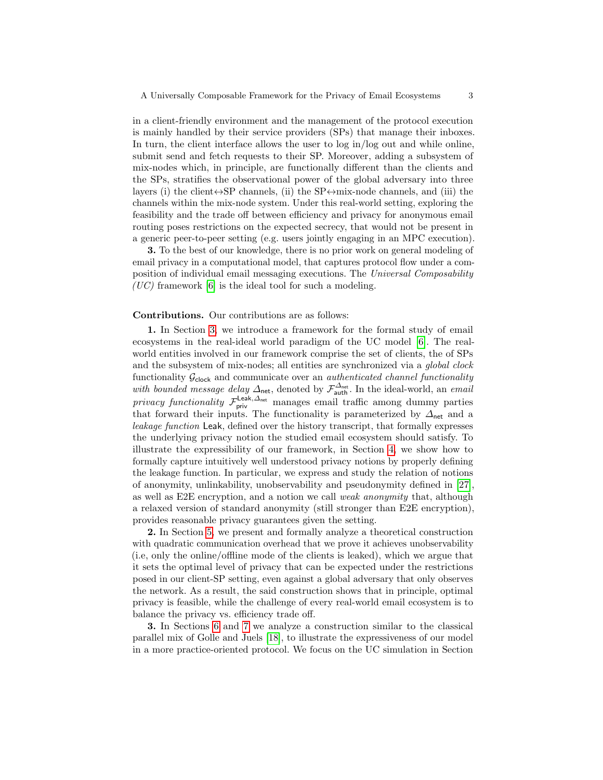in a client-friendly environment and the management of the protocol execution is mainly handled by their service providers (SPs) that manage their inboxes. In turn, the client interface allows the user to log in/log out and while online, submit send and fetch requests to their SP. Moreover, adding a subsystem of mix-nodes which, in principle, are functionally different than the clients and the SPs, stratifies the observational power of the global adversary into three layers (i) the client $\leftrightarrow$ SP channels, (ii) the SP $\leftrightarrow$ mix-node channels, and (iii) the channels within the mix-node system. Under this real-world setting, exploring the feasibility and the trade off between efficiency and privacy for anonymous email routing poses restrictions on the expected secrecy, that would not be present in a generic peer-to-peer setting (e.g. users jointly engaging in an MPC execution).

3. To the best of our knowledge, there is no prior work on general modeling of email privacy in a computational model, that captures protocol flow under a composition of individual email messaging executions. The Universal Composability  $(UC)$  framework [\[6\]](#page-32-8) is the ideal tool for such a modeling.

#### Contributions. Our contributions are as follows:

1. In Section [3,](#page-6-0) we introduce a framework for the formal study of email ecosystems in the real-ideal world paradigm of the UC model [\[6\]](#page-32-8). The realworld entities involved in our framework comprise the set of clients, the of SPs and the subsystem of mix-nodes; all entities are synchronized via a *qlobal clock* functionality  $\mathcal{G}_{\text{clock}}$  and communicate over an *authenticated channel functionality* with bounded message delay  $\Delta_{\text{net}}$ , denoted by  $\mathcal{F}_{\text{auth}}^{\Delta_{\text{net}}}$ . In the ideal-world, an email privacy functionality  $\mathcal{F}_{\text{priv}}^{\text{Leak},\Delta_{\text{net}}}$  manages email traffic among dummy parties that forward their inputs. The functionality is parameterized by  $\Delta_{\text{net}}$  and a leakage function Leak, defined over the history transcript, that formally expresses the underlying privacy notion the studied email ecosystem should satisfy. To illustrate the expressibility of our framework, in Section [4,](#page-12-0) we show how to formally capture intuitively well understood privacy notions by properly defining the leakage function. In particular, we express and study the relation of notions of anonymity, unlinkability, unobservability and pseudonymity defined in [\[27\]](#page-33-9), as well as E2E encryption, and a notion we call weak anonymity that, although a relaxed version of standard anonymity (still stronger than E2E encryption), provides reasonable privacy guarantees given the setting.

2. In Section [5,](#page-18-0) we present and formally analyze a theoretical construction with quadratic communication overhead that we prove it achieves unobservability (i.e, only the online/offline mode of the clients is leaked), which we argue that it sets the optimal level of privacy that can be expected under the restrictions posed in our client-SP setting, even against a global adversary that only observes the network. As a result, the said construction shows that in principle, optimal privacy is feasible, while the challenge of every real-world email ecosystem is to balance the privacy vs. efficiency trade off.

3. In Sections [6](#page-25-0) and [7](#page-30-0) we analyze a construction similar to the classical parallel mix of Golle and Juels [\[18\]](#page-33-10), to illustrate the expressiveness of our model in a more practice-oriented protocol. We focus on the UC simulation in Section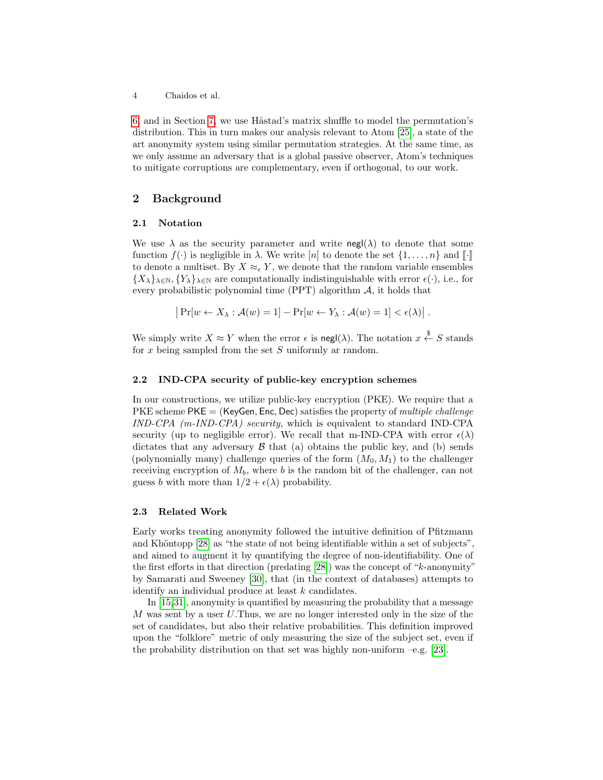[6,](#page-25-0) and in Section [7,](#page-30-0) we use Håstad's matrix shuffle to model the permutation's distribution. This in turn makes our analysis relevant to Atom [\[25\]](#page-33-8), a state of the art anonymity system using similar permutation strategies. At the same time, as we only assume an adversary that is a global passive observer, Atom's techniques to mitigate corruptions are complementary, even if orthogonal, to our work.

## 2 Background

#### 2.1 Notation

We use  $\lambda$  as the security parameter and write negl( $\lambda$ ) to denote that some function  $f(\cdot)$  is negligible in  $\lambda$ . We write [n] to denote the set  $\{1, \ldots, n\}$  and  $\llbracket \cdot \rrbracket$ to denote a multiset. By  $X \approx_{\epsilon} Y$ , we denote that the random variable ensembles  ${X_{\lambda}}_{\lambda\in\mathbb{N}}, {Y_{\lambda}}_{\lambda\in\mathbb{N}}$  are computationally indistinguishable with error  $\epsilon(\cdot)$ , i.e., for every probabilistic polynomial time (PPT) algorithm  $A$ , it holds that

$$
|\Pr[w \leftarrow X_{\lambda} : \mathcal{A}(w) = 1] - \Pr[w \leftarrow Y_{\lambda} : \mathcal{A}(w) = 1] < \epsilon(\lambda)|.
$$

We simply write  $X \approx Y$  when the error  $\epsilon$  is negl( $\lambda$ ). The notation  $x \stackrel{\$}{\leftarrow} S$  stands for  $x$  being sampled from the set  $S$  uniformly ar random.

#### <span id="page-4-0"></span>2.2 IND-CPA security of public-key encryption schemes

In our constructions, we utilize public-key encryption (PKE). We require that a PKE scheme  $PKE = (KeyGen, Enc, Dec)$  satisfies the property of *multiple challenge* IND-CPA (m-IND-CPA) security, which is equivalent to standard IND-CPA security (up to negligible error). We recall that m-IND-CPA with error  $\epsilon(\lambda)$ dictates that any adversary  $\beta$  that (a) obtains the public key, and (b) sends (polynomially many) challenge queries of the form  $(M_0, M_1)$  to the challenger receiving encryption of  $M_b$ , where b is the random bit of the challenger, can not guess *b* with more than  $1/2 + \epsilon(\lambda)$  probability.

#### 2.3 Related Work

Early works treating anonymity followed the intuitive definition of Pfitzmann and Khöntopp [\[28\]](#page-33-11) as "the state of not being identifiable within a set of subjects". and aimed to augment it by quantifying the degree of non-identifiability. One of the first efforts in that direction (predating  $[28]$ ) was the concept of " $k$ -anonymity" by Samarati and Sweeney [\[30\]](#page-33-12), that (in the context of databases) attempts to identify an individual produce at least  $k$  candidates.

In [\[15,](#page-32-9)[31\]](#page-33-13), anonymity is quantified by measuring the probability that a message M was sent by a user U.Thus, we are no longer interested only in the size of the set of candidates, but also their relative probabilities. This definition improved upon the "folklore" metric of only measuring the size of the subject set, even if the probability distribution on that set was highly non-uniform  $-e.g.$  [\[23\]](#page-33-14).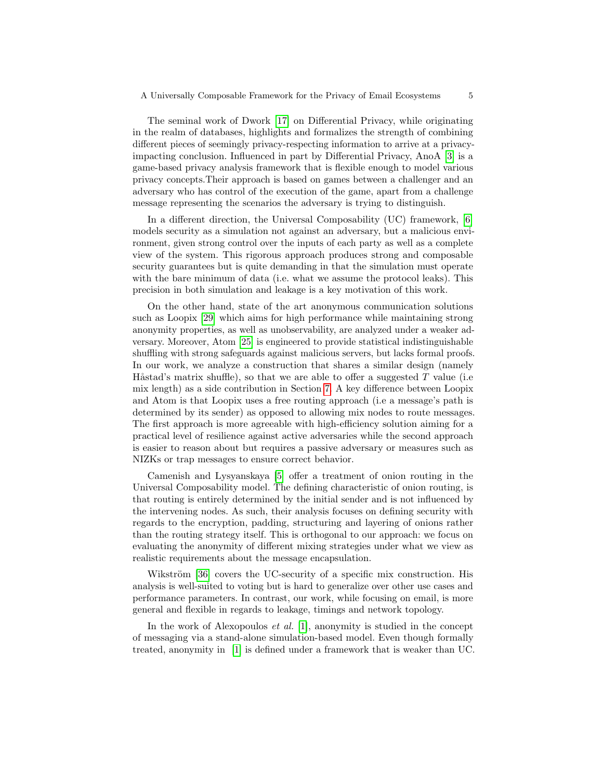The seminal work of Dwork [\[17\]](#page-33-15) on Differential Privacy, while originating in the realm of databases, highlights and formalizes the strength of combining different pieces of seemingly privacy-respecting information to arrive at a privacyimpacting conclusion. Influenced in part by Differential Privacy, AnoA [\[3\]](#page-32-10) is a game-based privacy analysis framework that is flexible enough to model various privacy concepts.Their approach is based on games between a challenger and an adversary who has control of the execution of the game, apart from a challenge message representing the scenarios the adversary is trying to distinguish.

In a different direction, the Universal Composability (UC) framework, [\[6\]](#page-32-8) models security as a simulation not against an adversary, but a malicious environment, given strong control over the inputs of each party as well as a complete view of the system. This rigorous approach produces strong and composable security guarantees but is quite demanding in that the simulation must operate with the bare minimum of data (i.e. what we assume the protocol leaks). This precision in both simulation and leakage is a key motivation of this work.

On the other hand, state of the art anonymous communication solutions such as Loopix [\[29\]](#page-33-6) which aims for high performance while maintaining strong anonymity properties, as well as unobservability, are analyzed under a weaker adversary. Moreover, Atom [\[25\]](#page-33-8) is engineered to provide statistical indistinguishable shuffling with strong safeguards against malicious servers, but lacks formal proofs. In our work, we analyze a construction that shares a similar design (namely Håstad's matrix shuffle), so that we are able to offer a suggested  $T$  value (i.e. mix length) as a side contribution in Section [7.](#page-30-0) A key difference between Loopix and Atom is that Loopix uses a free routing approach (i.e a message's path is determined by its sender) as opposed to allowing mix nodes to route messages. The first approach is more agreeable with high-efficiency solution aiming for a practical level of resilience against active adversaries while the second approach is easier to reason about but requires a passive adversary or measures such as NIZKs or trap messages to ensure correct behavior.

Camenish and Lysyanskaya [\[5\]](#page-32-11) offer a treatment of onion routing in the Universal Composability model. The defining characteristic of onion routing, is that routing is entirely determined by the initial sender and is not influenced by the intervening nodes. As such, their analysis focuses on defining security with regards to the encryption, padding, structuring and layering of onions rather than the routing strategy itself. This is orthogonal to our approach: we focus on evaluating the anonymity of different mixing strategies under what we view as realistic requirements about the message encapsulation.

Wikström  $[36]$  covers the UC-security of a specific mix construction. His analysis is well-suited to voting but is hard to generalize over other use cases and performance parameters. In contrast, our work, while focusing on email, is more general and flexible in regards to leakage, timings and network topology.

In the work of Alexopoulos *et al.* [\[1\]](#page-32-7), anonymity is studied in the concept of messaging via a stand-alone simulation-based model. Even though formally treated, anonymity in [\[1\]](#page-32-7) is defined under a framework that is weaker than UC.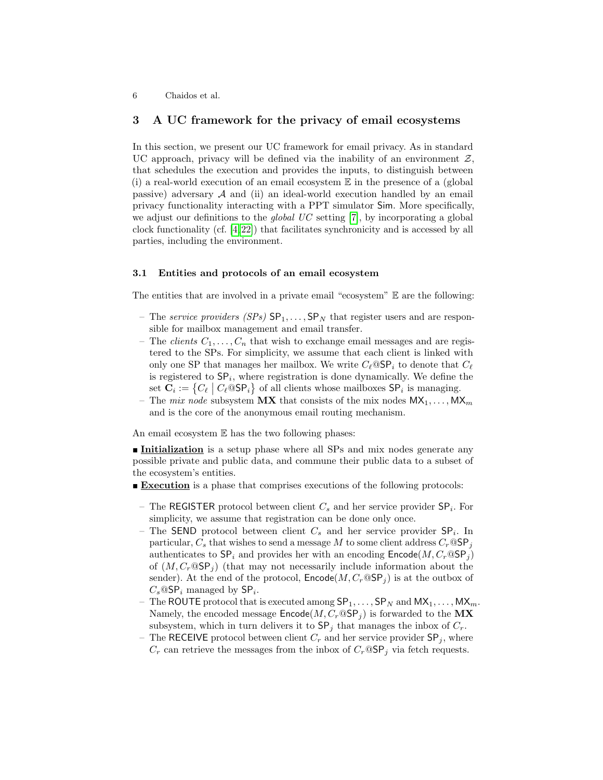### <span id="page-6-0"></span>3 A UC framework for the privacy of email ecosystems

In this section, we present our UC framework for email privacy. As in standard UC approach, privacy will be defined via the inability of an environment  $Z$ . that schedules the execution and provides the inputs, to distinguish between (i) a real-world execution of an email ecosystem E in the presence of a (global passive) adversary  $A$  and (ii) an ideal-world execution handled by an email privacy functionality interacting with a PPT simulator Sim. More specifically, we adjust our definitions to the *qlobal*  $UC$  setting [\[7\]](#page-32-12), by incorporating a global clock functionality (cf. [\[4,](#page-32-13) [22\]](#page-33-17)) that facilitates synchronicity and is accessed by all parties, including the environment.

#### 3.1 Entities and protocols of an email ecosystem

The entities that are involved in a private email "ecosystem"  $E$  are the following:

- The service providers (SPs)  $\mathsf{SP}_1, \ldots, \mathsf{SP}_N$  that register users and are responsible for mailbox management and email transfer.
- The *clients*  $C_1, \ldots, C_n$  that wish to exchange email messages and are registered to the SPs. For simplicity, we assume that each client is linked with only one SP that manages her mailbox. We write  $C_{\ell}$  QSP<sub>i</sub> to denote that  $C_{\ell}$ is registered to  $SP<sub>i</sub>$ , where registration is done dynamically. We define the set  $\mathbf{C}_i := \{ C_\ell \mid C_\ell \mathbb{QSP}_i \}$  of all clients whose mailboxes  $\mathsf{SP}_i$  is managing.
- The *mix node* subsystem  $MX$  that consists of the mix nodes  $MX_1, \ldots, MX_m$ and is the core of the anonymous email routing mechanism.

An email ecosystem  $E$  has the two following phases:

Initialization is a setup phase where all SPs and mix nodes generate any possible private and public data, and commune their public data to a subset of the ecosystem's entities.

- **Execution** is a phase that comprises executions of the following protocols:
	- The REGISTER protocol between client  $C_s$  and her service provider  $SP_i$ . For simplicity, we assume that registration can be done only once.
	- The SEND protocol between client  $C_s$  and her service provider SP<sub>i</sub>. In particular,  $C_s$  that wishes to send a message M to some client address  $C_r$  QSP<sub>i</sub> authenticates to  $SP_i$  and provides her with an encoding  $\mathsf{Encode}(M, C_r \otimes SP_i)$ of  $(M, C_r \t\t\t\t@SP<sub>i</sub>)$  (that may not necessarily include information about the sender). At the end of the protocol,  $\mathsf{Encode}(M, C_r \mathbb Q\mathsf{SP}_i)$  is at the outbox of  $C_s@{\sf SP}_i$  managed by  ${\sf SP}_i$ .
	- The ROUTE protocol that is executed among  $SP_1, \ldots, SP_N$  and  $MX_1, \ldots, MX_m$ . Namely, the encoded message  $\mathsf{Encode}(M, C_r \mathbb{QSP}_i)$  is forwarded to the MX subsystem, which in turn delivers it to  $\mathsf{SP}_i$  that manages the inbox of  $C_r$ .
	- The RECEIVE protocol between client  $C_r$  and her service provider  $\mathsf{SP}_j$ , where  $C_r$  can retrieve the messages from the inbox of  $C_r$  QSP<sub>j</sub> via fetch requests.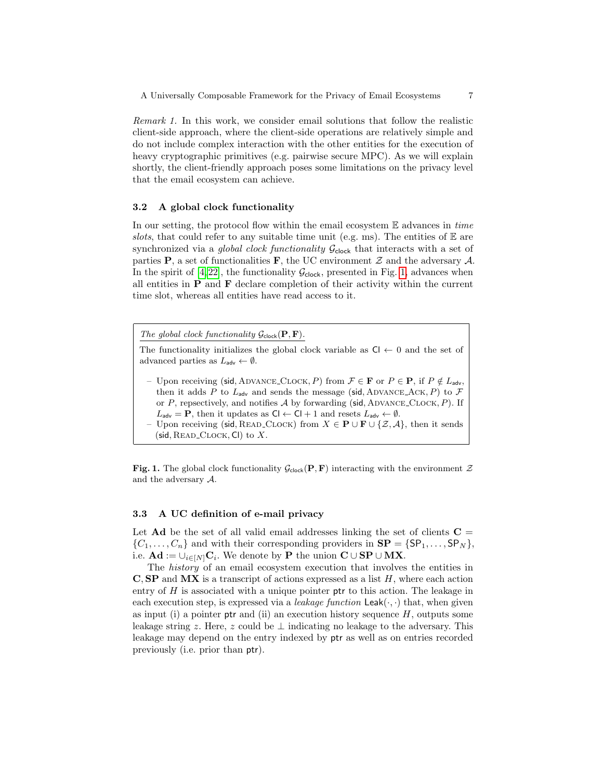Remark 1. In this work, we consider email solutions that follow the realistic client-side approach, where the client-side operations are relatively simple and do not include complex interaction with the other entities for the execution of heavy cryptographic primitives (e.g. pairwise secure MPC). As we will explain shortly, the client-friendly approach poses some limitations on the privacy level that the email ecosystem can achieve.

#### 3.2 A global clock functionality

In our setting, the protocol flow within the email ecosystem  $E$  advances in time slots, that could refer to any suitable time unit (e.g. ms). The entities of  $E$  are synchronized via a *global clock functionality*  $\mathcal{G}_{\text{clock}}$  that interacts with a set of parties **P**, a set of functionalities **F**, the UC environment  $\mathcal{Z}$  and the adversary  $\mathcal{A}$ . In the spirit of [\[4,](#page-32-13) [22\]](#page-33-17), the functionality  $\mathcal{G}_{clock}$ , presented in Fig. [1,](#page-7-0) advances when all entities in  $P$  and  $F$  declare completion of their activity within the current time slot, whereas all entities have read access to it.

The global clock functionality  $\mathcal{G}_{\text{clock}}(\mathbf{P}, \mathbf{F})$ .

The functionality initializes the global clock variable as  $Cl \leftarrow 0$  and the set of advanced parties as  $L_{adv} \leftarrow \emptyset$ .

- Upon receiving (sid, ADVANCE\_CLOCK, P) from  $\mathcal{F} \in \mathbf{F}$  or  $P \in \mathbf{P}$ , if  $P \notin L_{adv}$ , then it adds P to  $L_{adv}$  and sends the message (sid, ADVANCE ACK, P) to F or  $P$ , repsectively, and notifies  $A$  by forwarding (sid, ADVANCE\_CLOCK,  $P$ ). If  $L_{\text{adv}} = \mathbf{P}$ , then it updates as  $\mathsf{Cl} \leftarrow \mathsf{Cl} + 1$  and resets  $L_{\text{adv}} \leftarrow \emptyset$ .
- Upon receiving (sid, READ\_CLOCK) from  $X \in \mathbf{P} \cup \mathbf{F} \cup \{Z, A\}$ , then it sends (sid, READ\_CLOCK, Cl) to  $X$ .

<span id="page-7-0"></span>Fig. 1. The global clock functionality  $\mathcal{G}_{\text{clock}}(P, F)$  interacting with the environment  $\mathcal Z$ and the adversary  $A$ .

#### <span id="page-7-1"></span>3.3 A UC definition of e-mail privacy

Let Ad be the set of all valid email addresses linking the set of clients  $C =$  $\{C_1, \ldots, C_n\}$  and with their corresponding providers in  $SP = \{SP_1, \ldots, SP_N\}$ , i.e.  $\mathbf{Ad} := \bigcup_{i \in [N]} \mathbf{C}_i$ . We denote by P the union  $\mathbf{C} \cup \mathbf{SP} \cup \mathbf{MX}$ .

The history of an email ecosystem execution that involves the entities in  $\mathbf{C}, \mathbf{SP}$  and  $\mathbf{MX}$  is a transcript of actions expressed as a list H, where each action entry of  $H$  is associated with a unique pointer ptr to this action. The leakage in each execution step, is expressed via a *leakage function*  $\textsf{Leak}(\cdot, \cdot)$  that, when given as input (i) a pointer ptr and (ii) an execution history sequence  $H$ , outputs some leakage string z. Here, z could be  $\perp$  indicating no leakage to the adversary. This leakage may depend on the entry indexed by ptr as well as on entries recorded previously (i.e. prior than ptr).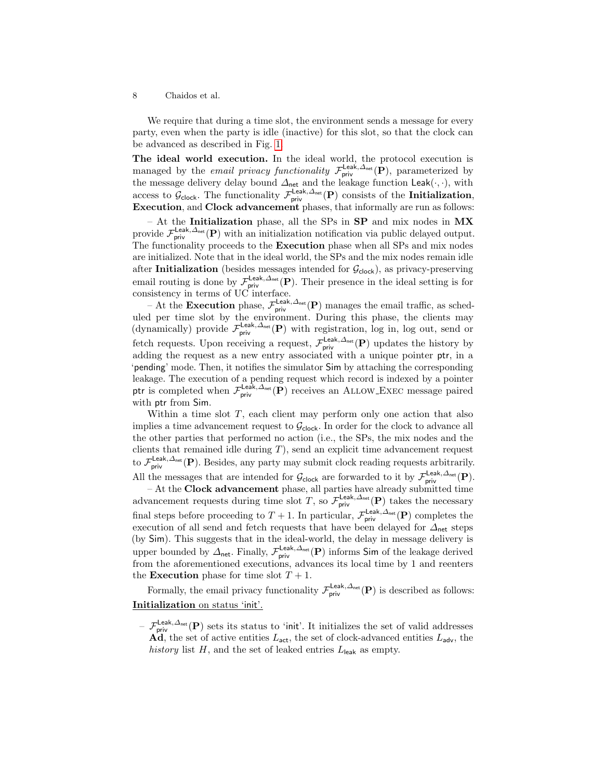We require that during a time slot, the environment sends a message for every party, even when the party is idle (inactive) for this slot, so that the clock can be advanced as described in Fig. [1.](#page-7-0)

The ideal world execution. In the ideal world, the protocol execution is managed by the *email privacy functionality*  $\mathcal{F}_{\text{priv}}^{\text{Leak},\Delta_{\text{net}}}(\bar{\mathbf{P}})$ , parameterized by the message delivery delay bound  $\Delta_{\text{net}}$  and the leakage function Leak $(\cdot, \cdot)$ , with access to  $\mathcal{G}_{\text{clock}}$ . The functionality  $\mathcal{F}_{\text{priv}}^{\text{Leak},\Delta_{\text{net}}}(\textbf{P})$  consists of the Initialization, Execution, and Clock advancement phases, that informally are run as follows:

– At the Initialization phase, all the SPs in SP and mix nodes in MX provide  $\mathcal{F}_{\text{priv}}^{\text{Leak},\Delta_{\text{net}}}(\mathbf{P})$  with an initialization notification via public delayed output. The functionality proceeds to the **Execution** phase when all SPs and mix nodes are initialized. Note that in the ideal world, the SPs and the mix nodes remain idle after Initialization (besides messages intended for  $\mathcal{G}_{clock}$ ), as privacy-preserving email routing is done by  $\mathcal{F}_{\text{priv}}^{\text{Leak},\Delta_{\text{net}}}(\mathbf{P})$ . Their presence in the ideal setting is for consistency in terms of UC interface.

– At the Execution phase,  $\mathcal{F}_{\text{priv}}^{\text{Leak},\Delta_{\text{net}}}(\textbf{P})$  manages the email traffic, as scheduled per time slot by the environment. During this phase, the clients may (dynamically) provide  $\mathcal{F}_{\text{priv}}^{\text{Leak},\Delta_{\text{net}}}(\mathbf{P})$  with registration, log in, log out, send or fetch requests. Upon receiving a request,  $\mathcal{F}_{\text{priv}}^{\text{Leak},\Delta_{\text{net}}}(\mathbf{P})$  updates the history by adding the request as a new entry associated with a unique pointer ptr, in a 'pending' mode. Then, it notifies the simulator Sim by attaching the corresponding leakage. The execution of a pending request which record is indexed by a pointer ptr is completed when  $\mathcal{F}_{\text{priv}}^{\text{Leak},\Delta_{\text{net}}}(\tilde{P})$  receives an ALLOW EXEC message paired with ptr from Sim.

Within a time slot  $T$ , each client may perform only one action that also implies a time advancement request to  $\mathcal{G}_{\mathsf{clock}}$ . In order for the clock to advance all the other parties that performed no action (i.e., the SPs, the mix nodes and the clients that remained idle during  $T$ ), send an explicit time advancement request to  $\mathcal{F}_{\text{priv}}^{\text{Leak},\Delta_{\text{net}}}(\mathbf{P})$ . Besides, any party may submit clock reading requests arbitrarily. All the messages that are intended for  $\mathcal{G}_{\text{clock}}$  are forwarded to it by  $\mathcal{F}_{\text{priv}}^{\text{Leak},\Delta_{\text{net}}}(\mathbf{P})$ .

– At the Clock advancement phase, all parties have already submitted time advancement requests during time slot T, so  $\mathcal{F}_{\text{priv}}^{\text{Leak},\Delta_{\text{net}}}(\textbf{P})$  takes the necessary final steps before proceeding to  $T + 1$ . In particular,  $\mathcal{F}_{\text{priv}}^{\text{Leak},\Delta_{\text{net}}}(\mathbf{P})$  completes the execution of all send and fetch requests that have been delayed for  $\Delta_{\text{net}}$  steps (by Sim). This suggests that in the ideal-world, the delay in message delivery is upper bounded by  $\Delta_{\sf net}$ . Finally,  $\mathcal{F}_{\sf priv}^{\sf{Leak},\Delta_{\sf net}}({\bf P})$  informs Sim of the leakage derived from the aforementioned executions, advances its local time by 1 and reenters the Execution phase for time slot  $T + 1$ .

Formally, the email privacy functionality  $\mathcal{F}_{\text{priv}}^{\text{Leak},\Delta_{\text{net}}}(\mathbf{P})$  is described as follows: Initialization on status 'init'.

 $-\mathcal{F}_{\text{priv}}^{\text{Leak},\Delta_{\text{net}}}(\textbf{P})$  sets its status to 'init'. It initializes the set of valid addresses  $\dot{A}d$ , the set of active entities  $L_{\text{act}}$ , the set of clock-advanced entities  $L_{\text{adv}}$ , the history list  $H$ , and the set of leaked entries  $L_{\text{leak}}$  as empty.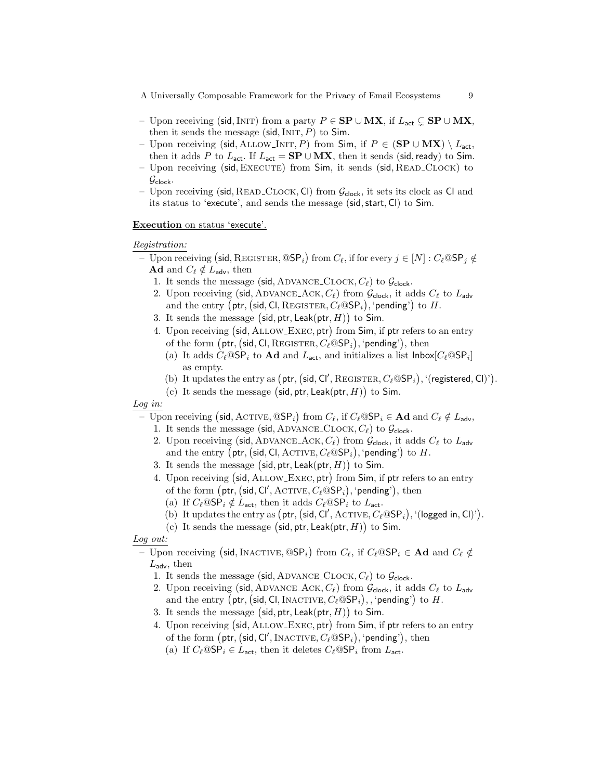- A Universally Composable Framework for the Privacy of Email Ecosystems 9
- Upon receiving (sid, INIT) from a party  $P \in \text{SP} \cup \text{MX}$ , if  $L_{\text{act}} \subsetneq \text{SP} \cup \text{MX}$ , then it sends the message (sid, INIT,  $P$ ) to Sim.
- Upon receiving (sid, ALLOW\_INIT, P) from Sim, if  $P \in (\mathbf{SP} \cup \mathbf{MX}) \setminus L_{\mathsf{act}}$ , then it adds P to  $L_{\text{act}}$ . If  $L_{\text{act}} = \text{SP} \cup \text{MX}$ , then it sends (sid, ready) to Sim.
- Upon receiving (sid, EXECUTE) from Sim, it sends (sid, READ\_CLOCK) to  $\mathcal{G}_{\mathsf{clock}}$ .
- Upon receiving (sid, READ\_CLOCK, CI) from  $\mathcal{G}_{clock}$ , it sets its clock as Cl and its status to 'execute', and sends the message (sid, start, CI) to Sim.

#### Execution on status 'execute'.

## Registration:

- $\overline{\phantom{I}}$  Upon receiving (sid, REGISTER, @SP<sub>i</sub>) from  $C_{\ell}$ , if for every  $j \in [N]$  :  $C_{\ell}$  @SP<sub>j</sub>  $\notin$ Ad and  $C_{\ell} \notin L_{adv}$ , then
	- 1. It sends the message (sid, ADVANCE\_CLOCK,  $C_{\ell}$ ) to  $\mathcal{G}_{\text{clock}}$ .
	- 2. Upon receiving (sid, ADVANCE\_ACK,  $C_{\ell}$ ) from  $\mathcal{G}_{\text{clock}}$ , it adds  $C_{\ell}$  to  $L_{\text{adv}}$ and the entry (ptr, (sid, Cl, REGISTER,  $C_{\ell}@\mathsf{SP}_i),$  'pending') to  $H.$
	- 3. It sends the message  $(\text{sid}, \text{ptr}, \text{Leak}(\text{ptr}, H))$  to Sim.
	- 4. Upon receiving (sid, ALLOW\_EXEC, ptr) from Sim, if ptr refers to an entry of the form  $(\mathsf{ptr}, (\mathsf{sid}, \mathsf{CI}, \mathsf{REGISTER}, C_\ell @ \mathsf{SP}_i), \mathsf{`pending'}),$  then
		- (a) It adds  $C_{\ell}$   $\mathbb{Q}$ SP<sub>i</sub> to **Ad** and  $L_{\text{act}}$ , and initializes a list  $\mathsf{Inbox}[C_{\ell} \mathbb{Q}$ SP<sub>i</sub>] as empty.
		- (b) It updates the entry as  $(\mathsf{ptr}, \left(\mathsf{sid}, \mathsf{Cl}', \mathsf{REGISTER}, C_{\ell} \mathsf{QSP}_i\right), \left( \mathsf{registered}, \mathsf{Cl}'\right)$ .
		- (c) It sends the message  $(\textsf{sid}, \textsf{ptr}, \textsf{Leak}(\textsf{ptr}, H))$  to Sim.

Log in:

- $\overline{\phantom{I}}$  Upon receiving (sid, ACTIVE, QSP<sub>i</sub>) from  $C_{\ell}$ , if  $C_{\ell}$ QSP<sub>i</sub>  $\in$  **Ad** and  $C_{\ell} \notin L_{\mathsf{adv}}$ ,
	- 1. It sends the message (sid, ADVANCE\_CLOCK,  $C_{\ell}$ ) to  $\mathcal{G}_{\text{clock}}$ .
	- 2. Upon receiving (sid, ADVANCE\_ACK,  $C_{\ell}$ ) from  $\mathcal{G}_{\text{clock}}$ , it adds  $C_{\ell}$  to  $L_{\text{adv}}$ and the entry (ptr, (sid, Cl, ACTIVE,  $C_{\ell}$  (SP<sub>i</sub>), 'pending') to H.
	- 3. It sends the message  $(\text{sid}, \text{ptr}, \text{Leak}(\text{ptr}, H))$  to Sim.
	- 4. Upon receiving (sid, ALLOW\_EXEC, ptr) from Sim, if ptr refers to an entry of the form  $(\mathsf{ptr}, (\mathsf{sid}, \mathsf{Cl}', \mathrm{ACTIVE}, C_\ell @ \mathsf{SP}_i), \mathsf{'pending'}),$  then
		- (a) If  $C_{\ell}$   $\mathfrak{S}P_i \notin L_{\text{act}}$ , then it adds  $C_{\ell}$   $\mathfrak{S}P_i$  to  $L_{\text{act}}$ .
		- (b) It updates the entry as  $(\text{ptr}, (\text{sid}, \text{C}l', \text{ACTIVE}, C_{\ell} \text{@SP<sub>i</sub>}), (\text{logged in}, \text{C}l')'.$
		- (c) It sends the message (sid, ptr, Leak(ptr,  $H$ )) to Sim.

Log out:

- $\overline{\phantom{a}}$  Upon receiving (sid, INACTIVE,  $@{\sf SP}_i$ ) from  $C_{\ell}$ , if  $C_{\ell}@{\sf SP}_i \in {\bf Ad}$  and  $C_{\ell} \notin$  $L_{\text{adv}}$ , then
	- 1. It sends the message (sid, ADVANCE\_CLOCK,  $C_{\ell}$ ) to  $\mathcal{G}_{\text{clock}}$ .
	- 2. Upon receiving (sid, ADVANCE\_ACK,  $C_{\ell}$ ) from  $\mathcal{G}_{\text{clock}}$ , it adds  $C_{\ell}$  to  $L_{\text{adv}}$ and the entry (ptr, (sid, Cl, INACTIVE,  $C_{\ell} @{\sf SP}_i),$  , 'pending') to  $H.$
	- 3. It sends the message  $(\text{sid}, \text{ptr}, \text{Leak}(\text{ptr}, H))$  to Sim.
	- 4. Upon receiving (sid, ALLOW\_EXEC, ptr) from Sim, if ptr refers to an entry of the form  $(\mathsf{ptr}, (\mathsf{sid}, \mathsf{Cl}', \mathsf{INACTIVE}, C_\ell @ \mathsf{SP}_i), \mathsf{'pending'}),$  then (a) If  $C_{\ell} @ SP_i \in L_{act}$ , then it deletes  $C_{\ell} @ SP_i$  from  $L_{act}$ .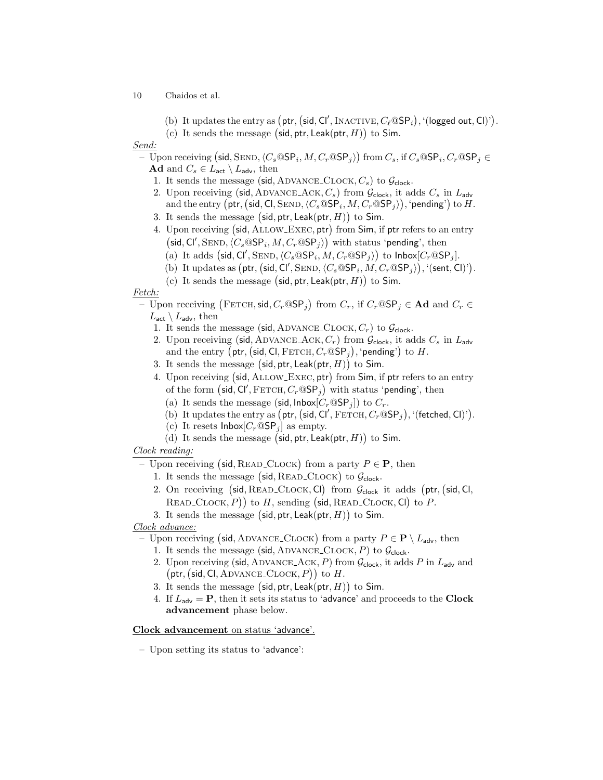- (b) It updates the entry as  $(\text{ptr}, (\text{sid}, \text{CI}', \text{INACTIVE}, C_{\ell} \text{@SP<sub>i</sub>}), (\text{(logged out}, \text{CI})').$
- (c) It sends the message (sid, ptr, Leak(ptr,  $H$ )) to Sim.

Send:

- Upon receiving (sid, SEND,  $\langle C_s \tQSP_i, M, C_r \tQSP_j \rangle$ ) from  $C_s$ , if  $C_s \tQSP_i, C_r \tQSP_j \in$ Ad and  $C_s \in L_{\text{act}} \setminus L_{\text{adv}},$  then

- 1. It sends the message (sid, ADVANCE\_CLOCK,  $C_s$ ) to  $\mathcal{G}_{clock}$ .
- 2. Upon receiving (sid, ADVANCE\_ACK,  $C_s$ ) from  $\mathcal{G}_{\text{clock}}$ , it adds  $C_s$  in  $L_{\text{adv}}$ and the entry  $(\mathsf{ptr}, (\mathsf{sid}, \mathsf{CI}, \mathsf{SEND}, \langle C_s \mathsf{QSP}_i, M, C_r \mathsf{QSP}_j \rangle), \mathsf{'pending')}$  to  $H.$
- 3. It sends the message  $(\text{sid}, \text{ptr}, \text{Leak}(\text{ptr}, H))$  to Sim.
- 4. Upon receiving (sid, ALLOW\_EXEC, ptr) from Sim, if ptr refers to an entry  $(\text{sid}, \text{Cl}', \text{SEND}, \langle C_s \text{@SP}_i, M, C_r \text{@SP}_j \rangle)$  with status 'pending', then
	- (a) It adds (︀ sid, Cl′ , Send,⟨@SP , , @SP ⟩ )︀ to Inbox[@SP ].
	- (b) It updates as  $(\text{ptr}, (\text{sid}, \text{Cl}', \text{SEND}, \langle C_s \text{@SP}_i, M, C_r \text{@SP}_j)), (\text{sent}, \text{Cl})'.$
	- (c) It sends the message (sid, ptr, Leak(ptr,  $H$ )) to Sim.

Fetch:

- Upon receiving (FETCH, sid,  $C_r$ <sup>®</sup>SP<sub>j</sub>) from  $C_r$ , if  $C_r$ <sup>®</sup>SP<sub>j</sub>  $\in$  **Ad** and  $C_r$   $\in$  $L_{\text{act}} \setminus L_{\text{adv}}, \text{ then}$ 
	- 1. It sends the message (sid, ADVANCE\_CLOCK,  $C_r$ ) to  $\mathcal{G}_{\text{clock}}$ .
	- 2. Upon receiving (sid, ADVANCE\_ACK,  $C_r$ ) from  $\mathcal{G}_{\text{clock}}$ , it adds  $C_s$  in  $L_{\text{adv}}$ and the entry (ptr, (sid, Cl, FETCH,  $C_r@{\sf SP}_j$ ), 'pending') to H.
	- 3. It sends the message  $(\text{sid}, \text{ptr}, \text{Leak}(\text{ptr}, H))$  to Sim.
	- 4. Upon receiving (sid, ALLOW\_EXEC, ptr) from Sim, if ptr refers to an entry of the form (sid, Cl', FETCH,  $C_r@{\mathsf{SP}}_j)$  with status 'pending', then
		- (a) It sends the message (sid,  $lnbox[C_r@SP_i])$  to  $C_r$ .
		- (b) It updates the entry as  $(\text{ptr}, (\text{sid}, \text{Cl}', \text{FETCH}, C_r \textcircled{SP}_j), (\text{fetched}, \text{Cl}')$ .
		- (c) It resets  $\textsf{Inbox}[C_r@{\sf SP}_j]$  as empty.
		- (d) It sends the message  $(\textsf{sid}, \textsf{ptr}, \textsf{Leak}(\textsf{ptr}, H))$  to Sim.

Clock reading:

- Upon receiving (sid, READ\_CLOCK) from a party  $P \in \mathbf{P}$ , then
	- 1. It sends the message (sid, READ\_CLOCK) to  $G_{\text{clock}}$ .
	- 2. On receiving (sid, READ\_CLOCK, CI) from  $\mathcal{G}_{clock}$  it adds (ptr, (sid, CI,  $READ-CLOCK, P)$  to H, sending (sid, READ\_CLOCK, CI) to P.
	- 3. It sends the message  $(\text{sid}, \text{ptr}, \text{Leak}(\text{ptr}, H))$  to Sim.

Clock advance:

- Upon receiving (sid, ADVANCE\_CLOCK) from a party  $P \in \mathbf{P} \setminus L_{adv}$ , then
	- 1. It sends the message (sid, ADVANCE\_CLOCK, P) to  $\mathcal{G}_{\text{clock}}$ .
	- 2. Upon receiving (sid, ADVANCE\_ACK, P) from  $\mathcal{G}_{\mathsf{clock}}$ , it adds P in  $L_{\mathsf{adv}}$  and  $(\text{ptr}, (\text{sid}, \text{Cl}, \text{ADVANCE\_CLOCK}, P))$  to  $H$ .
	- 3. It sends the message  $(\text{sid}, \text{ptr}, \text{Leak}(\text{ptr}, H))$  to Sim.
	- 4. If  $L_{adv} = \mathbf{P}$ , then it sets its status to 'advance' and proceeds to the Clock advancement phase below.

Clock advancement on status 'advance'.

– Upon setting its status to 'advance':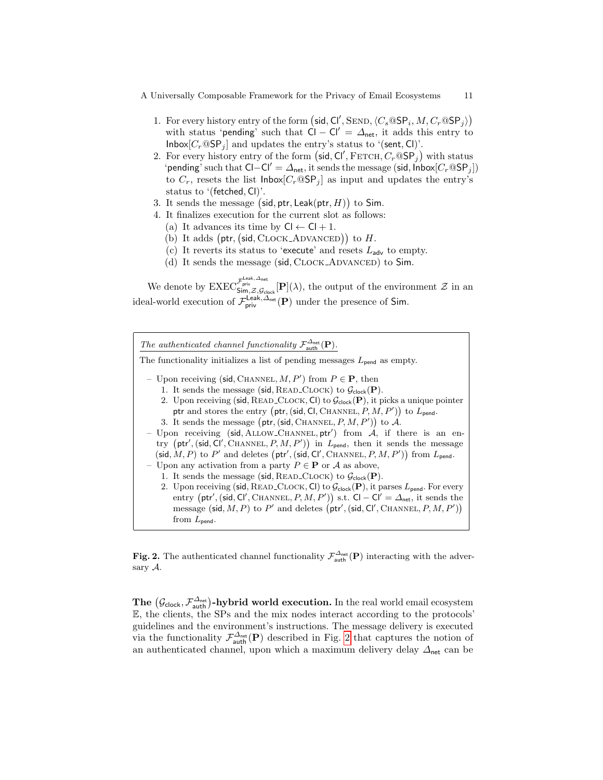- A Universally Composable Framework for the Privacy of Email Ecosystems 11
	- 1. For every history entry of the form  $(\text{sid}, \text{Cl}', \text{SEND}, \langle C_s \text{@SP}_i, M, C_r \text{@SP}_j \rangle)$ with status 'pending' such that  $Cl - Cl' = \Delta_{net}$ , it adds this entry to  $\textsf{Inbox}[C_r@SP_j]$  and updates the entry's status to '(sent, Cl)'.
	- 2. For every history entry of the form  $(\text{sid}, \text{Cl}', \text{FETCH}, C_r \text{QSP}_j)$  with status 'pending' such that  $Cl-Cl' = \Delta_{\text{net}}$ , it sends the message (sid, Inbox $[C_r@SP_i]$ ) to  $C_r$ , resets the list Inbox $[C_r \otimes SP_j]$  as input and updates the entry's status to '(fetched, Cl)'.
	- 3. It sends the message  $(\text{sid}, \text{ptr}, \text{Leak}(\text{ptr}, H))$  to Sim.
	- 4. It finalizes execution for the current slot as follows:
		- (a) It advances its time by  $Cl \leftarrow Cl + 1$ .
		- (b) It adds  $(\text{ptr}, (\text{sid}, \text{CLOCK}\_\text{ADVANCED}))$  to  $H$ .
		- (c) It reverts its status to 'execute' and resets  $L_{adv}$  to empty.
		- (d) It sends the message (sid,  $CLOCK$  ADVANCED) to Sim.

We denote by  $\operatorname{EXEC}_{\mathsf{Sim},\mathcal{Z},\mathcal{G}_{\text{clock}}}^{\mathcal{F}_{\text{pair}}^{\text{leak},\Delta_{\text{net}}}}[\mathbf{P}](\lambda)$ , the output of the environment  $\mathcal{Z}$  in an ideal-world execution of  $\mathcal{F}_{\text{priv}}^{\text{Leak},\Delta_{\text{net}}}(\mathbf{P})$  under the presence of Sim.

The authenticated channel functionality  $\mathcal{F}^{\Delta_{\text{net}}}_{\text{auth}}(\mathbf{P})$ . The functionality initializes a list of pending messages  $L_{\text{pend}}$  as empty. - Upon receiving (sid, CHANNEL,  $M, P'$ ) from  $P \in \mathbf{P}$ , then 1. It sends the message (sid, READ\_CLOCK) to  $\mathcal{G}_{clock}(\mathbf{P})$ . 2. Upon receiving (sid, READ\_CLOCK, Cl) to  $\mathcal{G}_{clock}(\mathbf{P})$ , it picks a unique pointer ptr and stores the entry  $(\text{ptr}, (\text{sid}, \text{CI}, \text{CHANNEL}, P, M, P'))$  to  $L_{\text{pend}}$ . 3. It sends the message  $(\text{ptr}, (\text{sid}, \text{CHANNEL}, P, M, P'))$  to  $\mathcal{A}$ . - Upon receiving (sid, ALLOW\_CHANNEL, ptr') from  $\mathcal{A}$ , if there is an entry  $(\text{ptr}', (\text{sid}, \text{Cl}', \text{CHANNEL}, P, M, P'))$  in  $L_{\text{pend}}$ , then it sends the message  $(\mathsf{sid}, M, P)$  to P' and deletes  $(\mathsf{ptr}', (\mathsf{sid}, \mathsf{Cl}', \mathsf{CHANNEL}, P, M, P'))$  from  $L_{\mathsf{pend}}$ . – Upon any activation from a party  $P \in \mathbf{P}$  or  $\mathcal A$  as above, 1. It sends the message (sid, READ\_CLOCK) to  $\mathcal{G}_{clock}(\mathbf{P})$ . 2. Upon receiving (sid, READ\_CLOCK, Cl) to  $\mathcal{G}_{clock}(\mathbf{P})$ , it parses  $L_{pend}$ . For every entry  $(\mathsf{ptr}', (\mathsf{sid}, \mathsf{Cl}', \mathsf{CHANNEL}, P, M, P'))$  s.t.  $\mathsf{Cl} - \mathsf{Cl}' = \Delta_{\mathsf{net}}$ , it sends the message (sid, M, P) to P' and deletes  $(\text{ptr}', (\text{sid}, \text{Cl}', \text{CHANNEL}, P, M, P'))$ from  $L_{\text{pend}}$ .

<span id="page-11-0"></span>Fig. 2. The authenticated channel functionality  $\mathcal{F}^{\Delta_{\text{net}}}_{\text{auth}}(P)$  interacting with the adversary  $A$ .

The  $(\mathcal{G}_{\mathsf{clock}}, \mathcal{F}_{\mathsf{auth}}^{\Delta_{\mathsf{net}}})$ -hybrid world execution. In the real world email ecosystem E, the clients, the SPs and the mix nodes interact according to the protocols' guidelines and the environment's instructions. The message delivery is executed via the functionality  $\mathcal{F}_{\text{auth}}^{\Delta_{\text{net}}}(\mathbf{P})$  described in Fig. [2](#page-11-0) that captures the notion of an authenticated channel, upon which a maximum delivery delay  $\Delta_{\text{net}}$  can be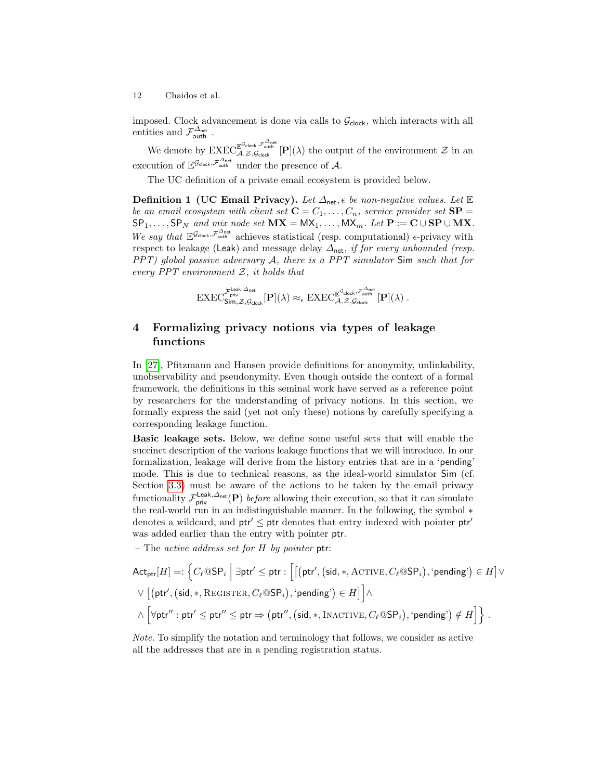imposed. Clock advancement is done via calls to  $\mathcal{G}_{\text{clock}}$ , which interacts with all entities and  $\mathcal{F}^{\Delta_{\text{net}}}_{\text{auth}}$ .

We denote by  $\operatorname{EXEC}_{\mathcal{A},\mathcal{Z},\mathcal{G}_{\text{clock}}}^{\mathbb{E}^{\mathcal{G}_{\text{clock}}},\mathcal{F}_{\text{anti}}^{\mathcal{A}_{\text{net}}} }[\mathbf{P}](\lambda)$  the output of the environment  $\mathcal{Z}$  in an execution of  $\mathbb{E}^{\mathcal{G}_{\text{clock}}, \mathcal{F}_{\text{auth}}^{\Delta_{\text{net}}}}$  under the presence of A.

The UC definition of a private email ecosystem is provided below.

**Definition 1 (UC Email Privacy).** Let  $\Delta_{\text{net}}$ ,  $\epsilon$  be non-negative values. Let  $\mathbb E$ be an email ecosystem with client set  $\mathbf{C} = C_1, \ldots, C_n$ , service provider set  $\mathbf{SP} =$  $\mathsf{SP}_1, \ldots, \mathsf{SP}_N$  and mix node set  $\mathbf{MX} = \mathsf{MX}_1, \ldots, \mathsf{MX}_m$ . Let  $\mathbf{P} := \mathbf{C} \cup \mathbf{SP} \cup \mathbf{MX}$ . We say that  $\mathbb{E}^{\mathcal{G}_{\text{clock}},\mathcal{F}_{\text{auth}}^{\Delta_{\text{net}}} }$  achieves statistical (resp. computational)  $\epsilon$ -privacy with respect to leakage (Leak) and message delay  $\Delta_{\text{net}}$ , if for every unbounded (resp.  $PPT$ ) global passive adversary  $A$ , there is a  $PPT$  simulator  $Sim$  such that for every PPT environment  $Z$ , it holds that

$$
\mathrm{EXEC}^{\mathcal{F}^\mathrm{leak,\, \mathcal{A}_\mathrm{net}}_\mathrm{Sim}, \mathcal{Z}, \mathcal{G}_\mathrm{clock}}[ \mathbf{P}](\lambda) \approx_\epsilon \mathrm{EXEC}^{\mathbb{E}^{\mathcal{G}_\mathrm{clock},\mathcal{F}_\mathrm{auth}^{\mathcal{A}_\mathrm{net}}}}_{\mathcal{A}, \mathcal{Z}, \mathcal{G}_\mathrm{clock}}[ \mathbf{P}](\lambda) ~.
$$

## <span id="page-12-0"></span>4 Formalizing privacy notions via types of leakage functions

In [\[27\]](#page-33-9), Pfitzmann and Hansen provide definitions for anonymity, unlinkability, unobservability and pseudonymity. Even though outside the context of a formal framework, the definitions in this seminal work have served as a reference point by researchers for the understanding of privacy notions. In this section, we formally express the said (yet not only these) notions by carefully specifying a corresponding leakage function.

Basic leakage sets. Below, we define some useful sets that will enable the succinct description of the various leakage functions that we will introduce. In our formalization, leakage will derive from the history entries that are in a 'pending' mode. This is due to technical reasons, as the ideal-world simulator Sim (cf. Section [3.3\)](#page-7-1) must be aware of the actions to be taken by the email privacy functionality  $\mathcal{F}_{\text{priv}}^{\text{Leak},\Delta_{\text{net}}}(\mathbf{P})$  before allowing their execution, so that it can simulate the real-world run in an indistinguishable manner. In the following, the symbol  $*$ denotes a wildcard, and  $ptr' \leq ptr$  denotes that entry indexed with pointer  $ptr'$ was added earlier than the entry with pointer ptr.

– The active address set for  $H$  by pointer ptr:

$$
\begin{aligned}\n\mathsf{Act}_{\mathsf{ptr}}[H] &=:\left\{C_{\ell} @ \mathsf{SP}_i \;\Big|\; \exists \mathsf{ptr'}\leq \mathsf{ptr} : \Big[\big[(\mathsf{ptr'},(\mathsf{sid},\ast,\mathsf{ACTIVE},C_{\ell} @ \mathsf{SP}_i),\text{'pending'}) \in H\big] \lor \\ &\lor \big[(\mathsf{ptr'},(\mathsf{sid},\ast,\mathsf{REGISTER},C_{\ell} @ \mathsf{SP}_i),\text{'pending'}) \in H\big]\Big] \land \\ \land \Big[\forall \mathsf{ptr''} : \mathsf{ptr'}\leq \mathsf{ptr''} \Rightarrow (\mathsf{ptr''},(\mathsf{sid},\ast,\mathsf{INACTIVE},C_{\ell} @ \mathsf{SP}_i),\text{'pending'}) \notin H\Big]\Big\}\n\,. \n\end{aligned}
$$

Note. To simplify the notation and terminology that follows, we consider as active all the addresses that are in a pending registration status.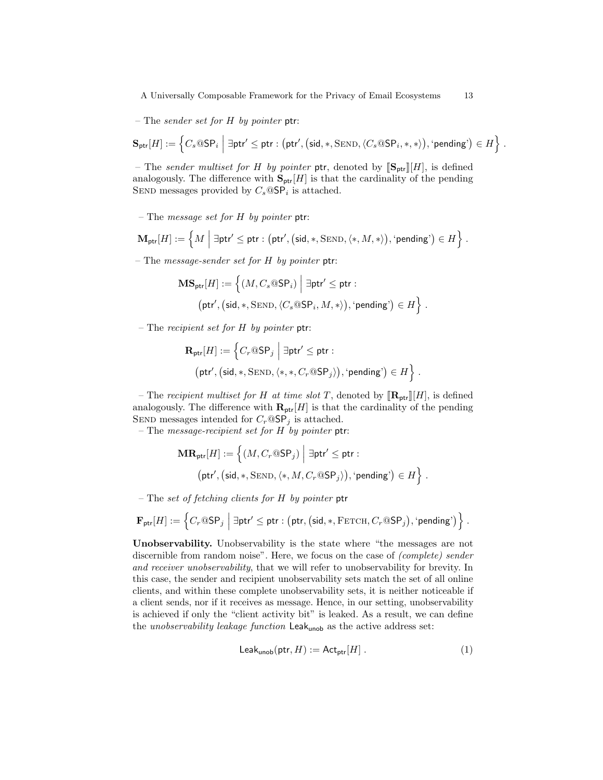A Universally Composable Framework for the Privacy of Email Ecosystems 13

– The sender set for  $H$  by pointer ptr:

$$
\mathbf{S}_{\sf ptr}[H] := \left\{C_s @ \mathsf{SP}_i \;\Big|\; \exists \mathsf{ptr'}\leq \mathsf{ptr}: \big(\mathsf{ptr'}, \big(\mathsf{sid}, *, \mathsf{SEND}, \langle C_s @ \mathsf{SP}_i, *, *\rangle\big), \text{ 'pending') } \in H\right\}\,.
$$

– The sender multiset for H by pointer ptr, denoted by  $[\mathbf{S}_{\text{ptr}}][H]$ , is defined analogously. The difference with  $\mathbf{S}_{\text{ptr}}[H]$  is that the cardinality of the pending SEND messages provided by  $C_s@{\sf SP}_i$  is attached.

– The message set for  $H$  by pointer ptr:

$$
\mathbf{M}_{\mathsf{ptr}}[H] := \left\{ M \; \Big| \; \exists \mathsf{ptr'} \leq \mathsf{ptr} : \big(\mathsf{ptr'}, \big(\mathsf{sid}, *, \mathsf{SEND}, \langle *, M, *\rangle\big), \text{ 'pending')} \in H \right\} \, .
$$

– The message-sender set for  $H$  by pointer ptr:

$$
\begin{aligned} \mathbf{MS}_{\mathsf{ptr}}[H] &:= \Big\{ (M, C_s @ \mathsf{SP}_i) \Big| \; \exists \mathsf{ptr'} \leq \mathsf{ptr} : \\ & \big( \mathsf{ptr'}, \big( \mathsf{sid}, *, \mathsf{SEND}, \langle C_s @ \mathsf{SP}_i, M, * \rangle \big), \text{'pending'} \big) \in H \Big\} \; . \end{aligned}
$$

– The recipient set for  $H$  by pointer ptr:

$$
\mathbf{R}_{\mathsf{ptr}}[H] := \left\{ C_r @ \mathsf{SP}_j \; \Big| \; \exists \mathsf{ptr'} \leq \mathsf{ptr} : \\ \big( \mathsf{ptr'}, \big( \mathsf{sid}, \ast, \mathsf{SEND}, \langle \ast, \ast, C_r @ \mathsf{SP}_j \rangle \big), \forall \mathsf{pending'} \big) \in H \right\} \, .
$$

– The recipient multiset for H at time slot T, denoted by  $[\mathbf{R}_{\text{ptr}}][H]$ , is defined analogously. The difference with  $\mathbf{R}_{\text{ptr}}[H]$  is that the cardinality of the pending SEND messages intended for  $C_r@{\sf SP}_j$  is attached.

– The message-recipient set for  $H$  by pointer ptr:

$$
\mathbf{MR}_{\mathsf{ptr}}[H] := \left\{ (M, C_r @ \mathsf{SP}_j) \middle| \exists \mathsf{ptr}' \leq \mathsf{ptr} : \right.
$$
  

$$
(\mathsf{ptr}', (\mathsf{sid}, *, \mathsf{SEND}, \langle *, M, C_r @ \mathsf{SP}_j \rangle), \mathsf{'pending'}) \in H \right\}.
$$

– The set of fetching clients for  $H$  by pointer ptr

$$
\mathbf{F}_{\mathsf{ptr}}[H] := \left\{ C_r @ \mathsf{SP}_j \; \Big| \; \exists \mathsf{ptr'} \leq \mathsf{ptr} : \big(\mathsf{ptr}, \big(\mathsf{sid}, *, \mathsf{FETCH}, C_r @ \mathsf{SP}_j\big), \text{ 'pending')}\right\} \, .
$$

<span id="page-13-0"></span>Unobservability. Unobservability is the state where "the messages are not discernible from random noise". Here, we focus on the case of *(complete) sender* and receiver unobservability, that we will refer to unobservability for brevity. In this case, the sender and recipient unobservability sets match the set of all online clients, and within these complete unobservability sets, it is neither noticeable if a client sends, nor if it receives as message. Hence, in our setting, unobservability is achieved if only the "client activity bit" is leaked. As a result, we can define the *unobservability leakage function*  $\text{Leak}_{\text{unob}}$  as the active address set:

<span id="page-13-1"></span>
$$
Leakunob(ptr, H) := Actptr[H].
$$
\n(1)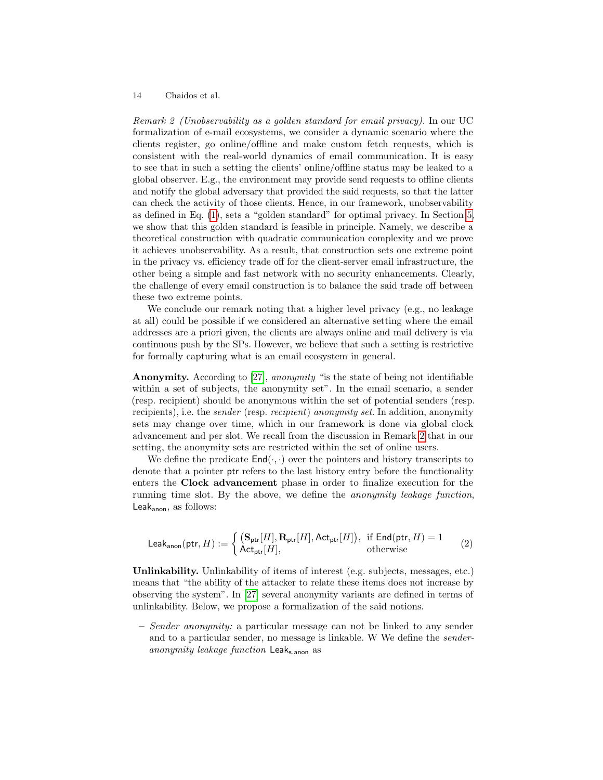Remark 2 (Unobservability as a golden standard for email privacy). In our UC formalization of e-mail ecosystems, we consider a dynamic scenario where the clients register, go online/offline and make custom fetch requests, which is consistent with the real-world dynamics of email communication. It is easy to see that in such a setting the clients' online/offline status may be leaked to a global observer. E.g., the environment may provide send requests to offline clients and notify the global adversary that provided the said requests, so that the latter can check the activity of those clients. Hence, in our framework, unobservability as defined in Eq. [\(1\)](#page-13-0), sets a "golden standard" for optimal privacy. In Section [5,](#page-18-0) we show that this golden standard is feasible in principle. Namely, we describe a theoretical construction with quadratic communication complexity and we prove it achieves unobservability. As a result, that construction sets one extreme point in the privacy vs. efficiency trade off for the client-server email infrastructure, the other being a simple and fast network with no security enhancements. Clearly, the challenge of every email construction is to balance the said trade off between these two extreme points.

We conclude our remark noting that a higher level privacy (e.g., no leakage at all) could be possible if we considered an alternative setting where the email addresses are a priori given, the clients are always online and mail delivery is via continuous push by the SPs. However, we believe that such a setting is restrictive for formally capturing what is an email ecosystem in general.

Anonymity. According to [\[27\]](#page-33-9), *anonymity* "is the state of being not identifiable within a set of subjects, the anonymity set". In the email scenario, a sender (resp. recipient) should be anonymous within the set of potential senders (resp. recipients), i.e. the sender (resp. recipient) anonymity set. In addition, anonymity sets may change over time, which in our framework is done via global clock advancement and per slot. We recall from the discussion in Remark [2](#page-13-1) that in our setting, the anonymity sets are restricted within the set of online users.

We define the predicate  $\textsf{End}(\cdot,\cdot)$  over the pointers and history transcripts to denote that a pointer ptr refers to the last history entry before the functionality enters the Clock advancement phase in order to finalize execution for the running time slot. By the above, we define the anonymity leakage function, Leakanon, as follows:

$$
\mathsf{Leak}_{\mathsf{anon}}(\mathsf{ptr}, H) := \begin{cases} (\mathbf{S}_{\mathsf{ptr}}[H], \mathbf{R}_{\mathsf{ptr}}[H], \mathsf{Act}_{\mathsf{ptr}}[H]), & \text{if } \mathsf{End}(\mathsf{ptr}, H) = 1\\ \mathsf{Act}_{\mathsf{ptr}}[H], & \text{otherwise} \end{cases} \tag{2}
$$

Unlinkability. Unlinkability of items of interest (e.g. subjects, messages, etc.) means that "the ability of the attacker to relate these items does not increase by observing the system". In [\[27\]](#page-33-9) several anonymity variants are defined in terms of unlinkability. Below, we propose a formalization of the said notions.

– Sender anonymity: a particular message can not be linked to any sender and to a particular sender, no message is linkable. W We define the senderanonymity leakage function Leaks.anon as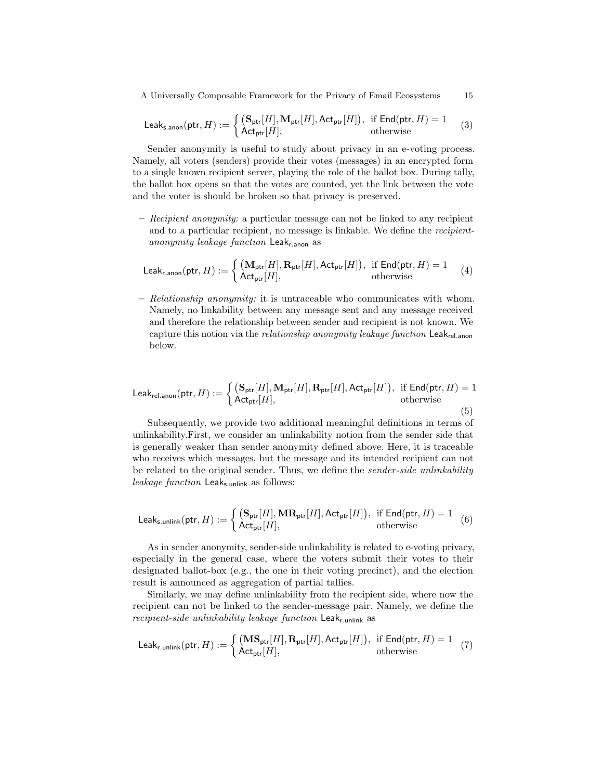A Universally Composable Framework for the Privacy of Email Ecosystems 15

$$
\mathsf{Leak}_{\mathsf{s.anon}}(\mathsf{ptr}, H) := \begin{cases} (\mathbf{S}_{\mathsf{ptr}}[H], \mathbf{M}_{\mathsf{ptr}}[H], \mathsf{Act}_{\mathsf{ptr}}[H]), & \text{if } \mathsf{End}(\mathsf{ptr}, H) = 1\\ \mathsf{Act}_{\mathsf{ptr}}[H], & \text{otherwise} \end{cases} \tag{3}
$$

Sender anonymity is useful to study about privacy in an e-voting process. Namely, all voters (senders) provide their votes (messages) in an encrypted form to a single known recipient server, playing the role of the ballot box. During tally, the ballot box opens so that the votes are counted, yet the link between the vote and the voter is should be broken so that privacy is preserved.

 $-$  Recipient anonymity: a particular message can not be linked to any recipient and to a particular recipient, no message is linkable. We define the recipientanonymity leakage function Leakr.anon as

$$
\textsf{Leak}_{\textsf{r.anon}}(\textsf{ptr}, H) := \begin{cases} (\mathbf{M}_{\textsf{ptr}}[H], \mathbf{R}_{\textsf{ptr}}[H], \textsf{Act}_{\textsf{ptr}}[H]), & \text{if } \textsf{End}(\textsf{ptr}, H) = 1\\ \textsf{Act}_{\textsf{ptr}}[H], & \text{otherwise} \end{cases} \tag{4}
$$

– Relationship anonymity: it is untraceable who communicates with whom. Namely, no linkability between any message sent and any message received and therefore the relationship between sender and recipient is not known. We capture this notion via the relationship anonymity leakage function Leak<sub>rel.anon</sub> below.

$$
\text{Leak}_{\text{rel.anon}}(\text{ptr}, H) := \begin{cases} (\mathbf{S}_{\text{ptr}}[H], \mathbf{M}_{\text{ptr}}[H], \mathbf{R}_{\text{ptr}}[H], \text{Act}_{\text{ptr}}[H]), & \text{if } \text{End}(\text{ptr}, H) = 1\\ \text{Act}_{\text{ptr}}[H], & \text{otherwise} \end{cases} \tag{5}
$$

Subsequently, we provide two additional meaningful definitions in terms of unlinkability.First, we consider an unlinkability notion from the sender side that is generally weaker than sender anonymity defined above. Here, it is traceable who receives which messages, but the message and its intended recipient can not be related to the original sender. Thus, we define the sender-side unlinkability leakage function Leak<sub>s.unlink</sub> as follows:

$$
\mathsf{Leak}_{\mathsf{s.unlink}}(\mathsf{ptr}, H) := \left\{ \begin{aligned} & \big(\mathbf{S}_{\mathsf{ptr}}[H], \mathbf{MR}_{\mathsf{ptr}}[H], \mathsf{Act}_{\mathsf{ptr}}[H] \big), \ \text{if} \ \mathsf{End}(\mathsf{ptr}, H) = 1 \\ & \text{otherwise} \end{aligned} \right. \tag{6}
$$

As in sender anonymity, sender-side unlinkability is related to e-voting privacy, especially in the general case, where the voters submit their votes to their designated ballot-box (e.g., the one in their voting precinct), and the election result is announced as aggregation of partial tallies.

Similarly, we may define unlinkability from the recipient side, where now the recipient can not be linked to the sender-message pair. Namely, we define the recipient-side unlinkability leakage function Leakr.unlink as

$$
\mathsf{Leak}_{\mathsf{r.unlink}}(\mathsf{ptr},H) := \left\{ \begin{array}{ll} \big( \mathbf{MS}_{\mathsf{ptr}}[H], \mathbf{R}_{\mathsf{ptr}}[H], \mathsf{Act}_{\mathsf{ptr}}[H] \big), & \text{if } \mathsf{End}(\mathsf{ptr},H) = 1\\ \mathsf{Act}_{\mathsf{ptr}}[H], & \text{otherwise} \end{array} \right. \tag{7}
$$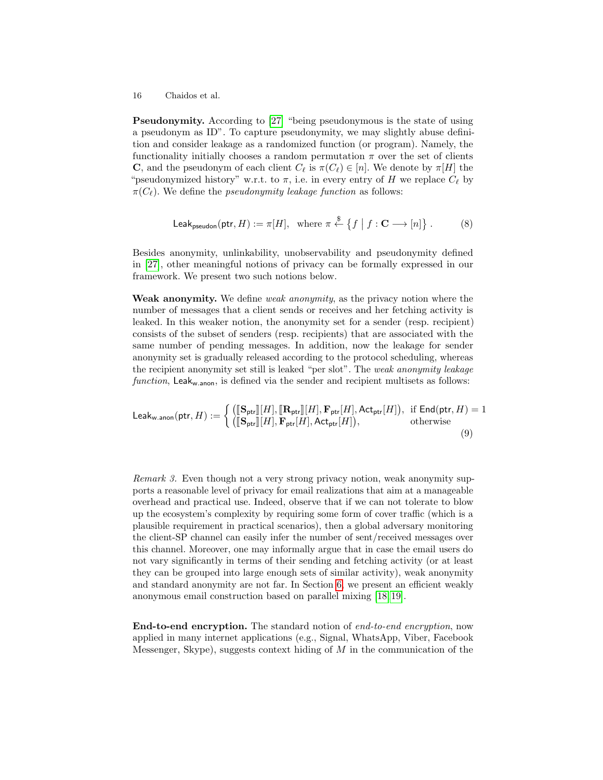Pseudonymity. According to [\[27\]](#page-33-9) "being pseudonymous is the state of using a pseudonym as ID". To capture pseudonymity, we may slightly abuse definition and consider leakage as a randomized function (or program). Namely, the functionality initially chooses a random permutation  $\pi$  over the set of clients **C**, and the pseudonym of each client  $C_{\ell}$  is  $\pi(C_{\ell}) \in [n]$ . We denote by  $\pi[H]$  the "pseudonymized history" w.r.t. to  $\pi$ , i.e. in every entry of H we replace  $C_{\ell}$  by  $\pi(C_{\ell})$ . We define the *pseudonymity leakage function* as follows:

<span id="page-16-0"></span>
$$
\mathsf{Leak}_{\mathsf{pseudon}}(\mathsf{ptr}, H) := \pi[H], \text{ where } \pi \stackrel{\$}{\leftarrow} \{f \mid f : \mathbf{C} \longrightarrow [n] \} . \tag{8}
$$

Besides anonymity, unlinkability, unobservability and pseudonymity defined in [\[27\]](#page-33-9), other meaningful notions of privacy can be formally expressed in our framework. We present two such notions below.

Weak anonymity. We define weak anonymity, as the privacy notion where the number of messages that a client sends or receives and her fetching activity is leaked. In this weaker notion, the anonymity set for a sender (resp. recipient) consists of the subset of senders (resp. recipients) that are associated with the same number of pending messages. In addition, now the leakage for sender anonymity set is gradually released according to the protocol scheduling, whereas the recipient anonymity set still is leaked "per slot". The weak anonymity leakage function, Leak<sub>w.anon</sub>, is defined via the sender and recipient multisets as follows:

$$
\mathsf{Leak}_{\mathsf{w.anon}}(\mathsf{ptr}, H) := \begin{cases} ([\mathbb{S}_{\mathsf{ptr}}][H], [\mathbb{R}_{\mathsf{ptr}}][H], \mathbf{F}_{\mathsf{ptr}}[H], \mathsf{Act}_{\mathsf{ptr}}[H]), \text{ if } \mathsf{End}(\mathsf{ptr}, H) = 1 \\ ([\mathbb{S}_{\mathsf{ptr}}][H], \mathbf{F}_{\mathsf{ptr}}[H], \mathsf{Act}_{\mathsf{ptr}}[H]), \end{cases} \text{ otherwise } (9)
$$

Remark 3. Even though not a very strong privacy notion, weak anonymity supports a reasonable level of privacy for email realizations that aim at a manageable overhead and practical use. Indeed, observe that if we can not tolerate to blow up the ecosystem's complexity by requiring some form of cover traffic (which is a plausible requirement in practical scenarios), then a global adversary monitoring the client-SP channel can easily infer the number of sent/received messages over this channel. Moreover, one may informally argue that in case the email users do not vary significantly in terms of their sending and fetching activity (or at least they can be grouped into large enough sets of similar activity), weak anonymity and standard anonymity are not far. In Section [6,](#page-25-0) we present an efficient weakly anonymous email construction based on parallel mixing [\[18,](#page-33-10) [19\]](#page-33-18).

End-to-end encryption. The standard notion of end-to-end encryption, now applied in many internet applications (e.g., Signal, WhatsApp, Viber, Facebook Messenger, Skype), suggests context hiding of  $M$  in the communication of the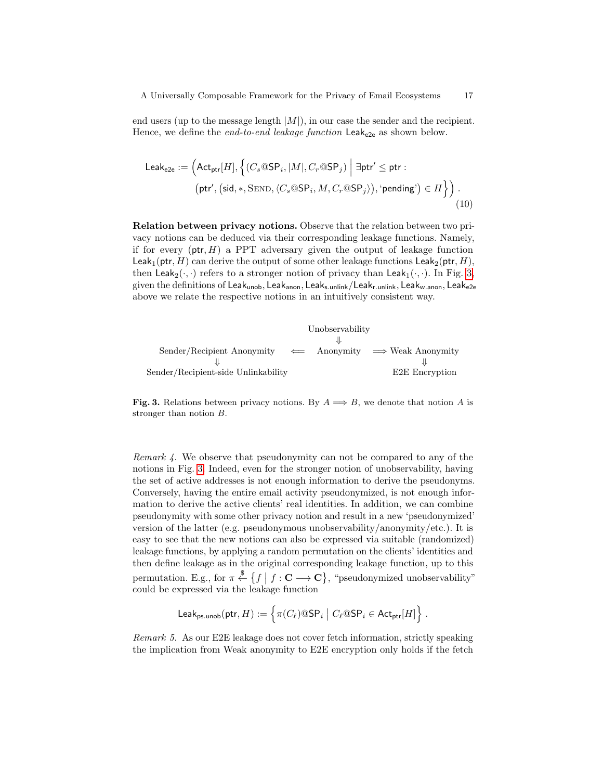end users (up to the message length  $|M|$ ), in our case the sender and the recipient. Hence, we define the *end-to-end leakage function*  $\text{Leak}_{e2e}$  as shown below.

$$
\mathsf{Leak}_{e2e} := \left(\mathsf{Act}_{\mathsf{ptr}}[H], \left\{ (C_s @ \mathsf{SP}_i, |M|, C_r @ \mathsf{SP}_j) \; \middle| \; \exists \mathsf{ptr'} \leq \mathsf{ptr} : \\ (\mathsf{ptr'}, (\mathsf{sid}, *, \mathsf{SEND}, \langle C_s @ \mathsf{SP}_i, M, C_r @ \mathsf{SP}_j \rangle), \forall \mathsf{pending'} ) \in H \right\} \right).
$$
\n(10)

Relation between privacy notions. Observe that the relation between two privacy notions can be deduced via their corresponding leakage functions. Namely, if for every  $(\text{ptr}, H)$  a PPT adversary given the output of leakage function Leak<sub>1</sub>(ptr, H) can derive the output of some other leakage functions Leak<sub>2</sub>(ptr, H), then Leak<sub>2</sub>( $\cdot$ ,  $\cdot$ ) refers to a stronger notion of privacy than Leak<sub>1</sub>( $\cdot$ ,  $\cdot$ ). In Fig. [3,](#page-17-0) given the definitions of Leak<sub>unob</sub>, Leak<sub>anon</sub>, Leak<sub>s.unlink</sub>/Leak<sub>r.unlink</sub>, Leak<sub>w.anon</sub>, Leak<sub>e2e</sub> above we relate the respective notions in an intuitively consistent way.

|                                                                       | Unobservability |  |                             |
|-----------------------------------------------------------------------|-----------------|--|-----------------------------|
|                                                                       |                 |  |                             |
| Sender/Recipient Anonymity $\iff$ Anonymity $\implies$ Weak Anonymity |                 |  |                             |
|                                                                       |                 |  |                             |
| Sender/Recipient-side Unlinkability                                   |                 |  | E <sub>2</sub> E Encryption |

<span id="page-17-0"></span>**Fig. 3.** Relations between privacy notions. By  $A \implies B$ , we denote that notion A is stronger than notion  $B$ .

Remark 4. We observe that pseudonymity can not be compared to any of the notions in Fig. [3.](#page-17-0) Indeed, even for the stronger notion of unobservability, having the set of active addresses is not enough information to derive the pseudonyms. Conversely, having the entire email activity pseudonymized, is not enough information to derive the active clients' real identities. In addition, we can combine pseudonymity with some other privacy notion and result in a new 'pseudonymized' version of the latter (e.g. pseudonymous unobservability/anonymity/etc.). It is easy to see that the new notions can also be expressed via suitable (randomized) leakage functions, by applying a random permutation on the clients' identities and then define leakage as in the original corresponding leakage function, up to this permutation. E.g., for  $\pi \stackrel{\$}{\leftarrow} \{f \mid f : \mathbf{C} \longrightarrow \mathbf{C}\},\$  "pseudonymized unobservability" could be expressed via the leakage function

$$
\mathsf{Leak}_{\mathsf{ps.unob}}(\mathsf{ptr}, H) := \left\{ \pi(C_{\ell}) @{\sf SP}_i \mid C_{\ell} @{\sf SP}_i \in \mathsf{Act}_{\mathsf{ptr}}[H] \right\}.
$$

Remark 5. As our E2E leakage does not cover fetch information, strictly speaking the implication from Weak anonymity to E2E encryption only holds if the fetch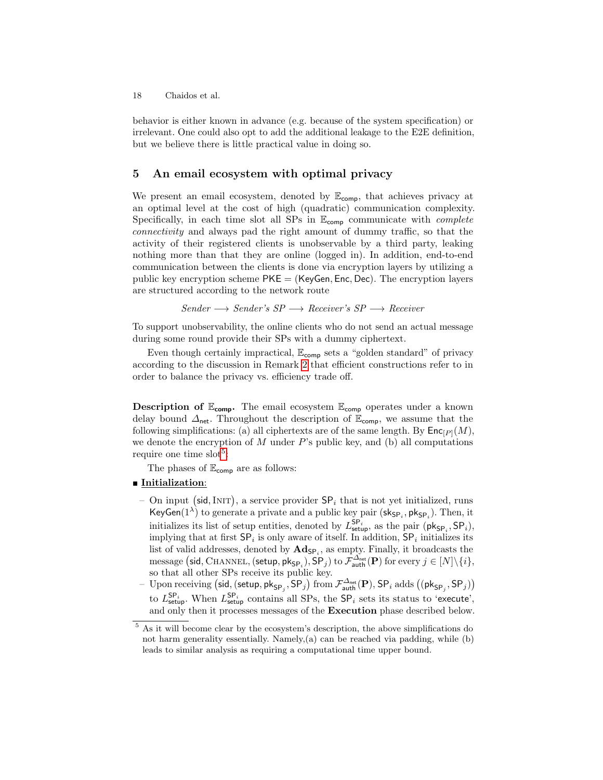behavior is either known in advance (e.g. because of the system specification) or irrelevant. One could also opt to add the additional leakage to the E2E definition, but we believe there is little practical value in doing so.

## <span id="page-18-0"></span>5 An email ecosystem with optimal privacy

We present an email ecosystem, denoted by  $\mathbb{E}_{\text{comp}}$ , that achieves privacy at an optimal level at the cost of high (quadratic) communication complexity. Specifically, in each time slot all SPs in  $\mathbb{E}_{\text{comp}}$  communicate with *complete* connectivity and always pad the right amount of dummy traffic, so that the activity of their registered clients is unobservable by a third party, leaking nothing more than that they are online (logged in). In addition, end-to-end communication between the clients is done via encryption layers by utilizing a public key encryption scheme  $PKE = (KeyGen, Enc, Dec)$ . The encryption layers are structured according to the network route

 $Sender \longrightarrowSender's SP \longrightarrow Receiver's SP \longrightarrow Receiver$ 

To support unobservability, the online clients who do not send an actual message during some round provide their SPs with a dummy ciphertext.

Even though certainly impractical,  $\mathbb{E}_{\text{comp}}$  sets a "golden standard" of privacy according to the discussion in Remark [2](#page-13-1) that efficient constructions refer to in order to balance the privacy vs. efficiency trade off.

**Description of**  $\mathbb{E}_{\text{conn}}$ **.** The email ecosystem  $\mathbb{E}_{\text{conn}}$  operates under a known delay bound  $\Delta_{\text{net}}$ . Throughout the description of  $\mathbb{E}_{\text{comp}}$ , we assume that the following simplifications: (a) all ciphertexts are of the same length. By  $\mathsf{Enc}_{P}(M)$ , we denote the encryption of  $M$  under  $P$ 's public key, and (b) all computations require one time  $slot^5$  $slot^5$ :

The phases of  $\mathbb{E}_{\text{comp}}$  are as follows:

## **Initialization:**

- On input (sid, INIT), a service provider  $\mathsf{SP}_i$  that is not yet initialized, runs KeyGen( $1^{\lambda}$ ) to generate a private and a public key pair ( $\mathsf{sk}_{\mathsf{SP}_i}, \mathsf{pk}_{\mathsf{SP}_i}$ ). Then, it initializes its list of setup entities, denoted by  $L_{\text{setup}}^{\text{SP}_i}$ , as the pair  $(\text{pk}_{\text{SP}_i}, \text{SP}_i)$ , implying that at first  $\mathsf{SP}_i$  is only aware of itself. In addition,  $\mathsf{SP}_i$  initializes its list of valid addresses, denoted by  $\mathbf{Ad}_{\mathsf{SP}_i}$ , as empty. Finally, it broadcasts the  $\text{message (sid, CHANNEL},(\text{setup}, \text{pk}_{\text{SP}_i}), \text{SP}_j) \text{ to } \mathcal{F}^{\Delta_\text{net}}_\text{auth}(\textbf{P}) \text{ for every } j \in [N] \backslash \{i\},$ so that all other SPs receive its public key.
- Upon receiving  $\big(\textsf{sid},(\textsf{setup},\textsf{pk}_{\textsf{SP}_j},\textsf{SP}_j)\text{ from }\mathcal{F}^{\Delta_\textsf{net}}_\textsf{auth}(\textbf{P}),\textsf{SP}_i\text{ adds } \big((\textsf{pk}_{\textsf{SP}_j},\textsf{SP}_j)\big)$ to  $L_{\text{setup}}^{\text{SP}_i}$ . When  $L_{\text{setup}}^{\text{SP}_i}$  contains all SPs, the SP<sub>i</sub> sets its status to 'execute', and only then it processes messages of the Execution phase described below.

<span id="page-18-1"></span> $^5$  As it will become clear by the ecosystem's description, the above simplifications do not harm generality essentially. Namely,(a) can be reached via padding, while (b) leads to similar analysis as requiring a computational time upper bound.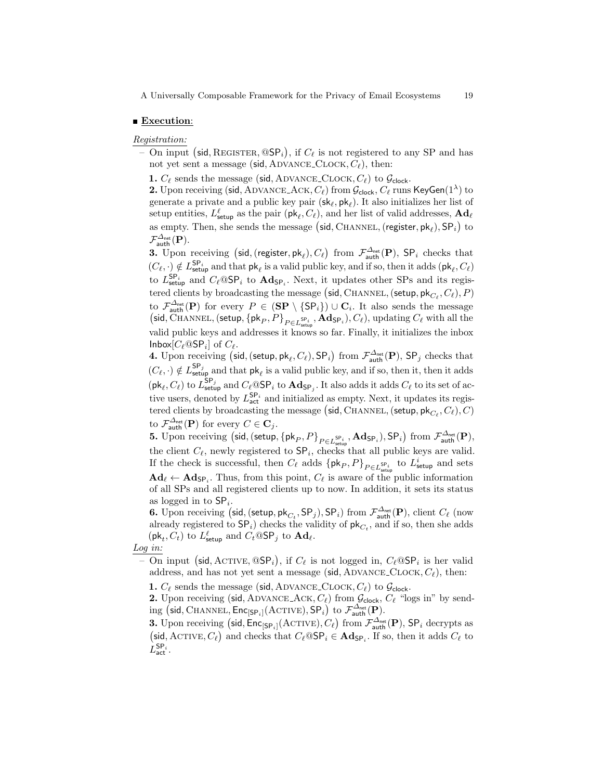#### ■ Execution:

Registration:

- $\overline{\phantom{a}}$  On input (sid, REGISTER, QSP<sub>i</sub>), if  $C_{\ell}$  is not registered to any SP and has not yet sent a message (sid, ADVANCE\_CLOCK,  $C_{\ell}$ ), then:
	- 1.  $C_{\ell}$  sends the message (sid, ADVANCE\_CLOCK,  $C_{\ell}$ ) to  $\mathcal{G}_{\text{clock}}$ .

2. Upon receiving (sid, ADVANCE\_ACK,  $C_{\ell}$ ) from  $\mathcal{G}_{\mathsf{clock}}, C_{\ell}$  runs KeyGen $(1^{\lambda})$  to generate a private and a public key pair  $(\mathsf{sk}_\ell, \mathsf{pk}_\ell)$ . It also initializes her list of setup entities,  $L^{\ell}_{\text{setup}}$  as the pair  $(\mathsf{pk}_{\ell}, C_{\ell})$ , and her list of valid addresses,  $\mathbf{Ad}_{\ell}$ as empty. Then, she sends the message (sid, CHANNEL, (register,  $\mathsf{pk}_\ell$ ),  $\mathsf{SP}_i$ ) to  $\mathcal{F}^{\mathcal{\Delta}_{\mathsf{net}}}_{\mathsf{auth}}(\mathbf{P}).$ 

3. Upon receiving (sid, (register,  $pk_{\ell}$ ),  $C_{\ell}$ ) from  $\mathcal{F}_{\mathsf{auth}}^{\Delta_{\mathsf{net}}}(\mathbf{P}),$  SP<sub>i</sub> checks that  $(C_{\ell},\cdot) \notin L_{\text{setup}}^{\text{SP}_{i}}$  and that  $\mathsf{pk}_{\ell}$  is a valid public key, and if so, then it adds  $(\mathsf{pk}_{\ell}, C_{\ell})$ to  $L_{\text{setup}}^{\text{SP}_i}$  and  $C_{\ell}$  QSP<sub>i</sub> to  $\text{Ad}_{\text{SP}_i}$ . Next, it updates other SPs and its registered clients by broadcasting the message (sid, CHANNEL, (setup,  $\mathsf{pk}_{C_{\ell}}, C_{\ell}$ ),  $P$ ) to  $\mathcal{F}^{\Delta_{\text{net}}}_{\text{auth}}(P)$  for every  $P \in (\mathbf{SP} \setminus \{\mathsf{SP}_i\}) \cup C_i$ . It also sends the message (sid, CHANNEL, (setup,  $\{pk_p, P\}_{P \in L_{\text{setup}}^{\text{SP}_i}}, \mathbf{Ad}_{\text{SP}_i}, C_\ell$ ), updating  $C_\ell$  with all the valid public keys and addresses it knows so far. Finally, it initializes the inbox  $\mathsf{Inbox}[C_{\ell} \mathsf{QSP}_i]$  of  $C_{\ell}$ .

4. Upon receiving (sid, (setup,  $pk_{\ell}, C_{\ell}$ ),  $SP_i$ ) from  $\mathcal{F}_{\text{auth}}^{\Delta_{\text{net}}}(\textbf{P}), SP_j$  checks that  $(C_{\ell},\cdot) \notin L_{\text{setup}}^{\text{SP}_j}$  and that  $\mathsf{pk}_{\ell}$  is a valid public key, and if so, then it, then it adds  $(pk_{\ell}, C_{\ell})$  to  $L_{\text{setup}}^{\text{SP}_j}$  and  $C_{\ell}$  QSP<sub>i</sub> to  $\text{Ad}_{\text{SP}_j}$ . It also adds it adds  $C_{\ell}$  to its set of active users, denoted by  $L_{\text{act}}^{\text{SP}_i}$  and initialized as empty. Next, it updates its registered clients by broadcasting the message (sid, CHANNEL, (setup,  $\mathsf{pk}_{C_\ell}, C_\ell$ ),  $C$ ) to  $\mathcal{F}_{\mathsf{auth}}^{\Delta_{\mathsf{net}}}(\mathbf{P})$  for every  $C \in \mathbf{C}_j$ .

**5.** Upon receiving (sid, (setup,  $\{pk_p, P\}_{P \in L_{\text{set}(n)}^{\text{SP}_i}}, \text{Ad}_{\text{SP}_i}$ ),  $\text{SP}_i$ ) from  $\mathcal{F}_{\text{auth}}^{\Delta_{\text{net}}}(\textbf{P})$ , the client  $C_{\ell}$ , newly registered to  $\mathsf{SP}_i$ , checks that all public keys are valid. If the check is successful, then  $C_{\ell}$  adds  $\{pk_P, P\}_{P\in L_{\text{setup}}^{\text{SP}_i}}$  to  $L_{\text{setup}}^i$  and sets  $\mathbf{Ad}_{\ell} \leftarrow \mathbf{Ad}_{\mathsf{SP}_i}$ . Thus, from this point,  $C_{\ell}$  is aware of the public information of all SPs and all registered clients up to now. In addition, it sets its status as logged in to  $SP_i$ .

**6.** Upon receiving (sid, (setup,  $pk_{C_t}$ , SP<sub>j</sub>), SP<sub>i</sub>) from  $\mathcal{F}^{\Delta_{net}}_{auth}(\mathbf{P})$ , client  $C_{\ell}$  (now already registered to  $\mathsf{SP}_i$ ) checks the validity of  $\mathsf{pk}_{C_i}$ , and if so, then she adds  $(\mathsf{pk}_t, C_t)$  to  $L^{\ell}_{\mathsf{setup}}$  and  $C_t \mathsf{QSP}_j$  to  $\mathbf{Ad}_{\ell}$ .

Log in:

 $\overline{\phantom{a}}$  On input (sid, ACTIVE, QSP<sub>i</sub>), if  $C_{\ell}$  is not logged in,  $C_{\ell}$  QSP<sub>i</sub> is her valid address, and has not yet sent a message (sid, ADVANCE\_CLOCK,  $C_{\ell}$ ), then:

1.  $C_{\ell}$  sends the message (sid, ADVANCE\_CLOCK,  $C_{\ell}$ ) to  $\mathcal{G}_{\text{clock}}$ .

**2.** Upon receiving (sid, ADVANCE\_ACK,  $C_{\ell}$ ) from  $\mathcal{G}_{\text{clock}}$ ,  $C_{\ell}$  "logs in" by sending (sid, CHANNEL,  $\mathsf{Enc}_{[\mathsf{SP}_i]}(\mathrm{ACTIVE}), \mathsf{SP}_i)$  to  $\mathcal{F}^{\Delta_\mathsf{net}}_\mathsf{auth}(\mathbf{P})$ .

**3.** Upon receiving  $(\textsf{sid}, \textsf{Enc}_{\textsf{[SP}}_i | (\text{ACTIVE}), C_\ell)$  from  $\mathcal{F}_{\textsf{auth}}^{\Delta_{\textsf{net}}}(\textbf{P}), \textsf{SP}_i$  decrypts as (sid, ACTIVE,  $C_{\ell}$ ) and checks that  $C_{\ell}$ <sup>®</sup>SP<sub>i</sub>  $\in$  **Ad**<sub>SP<sub>i</sub></sub>. If so, then it adds  $C_{\ell}$  to  $L_{\mathsf{act}}^{\mathsf{SP}_i}.$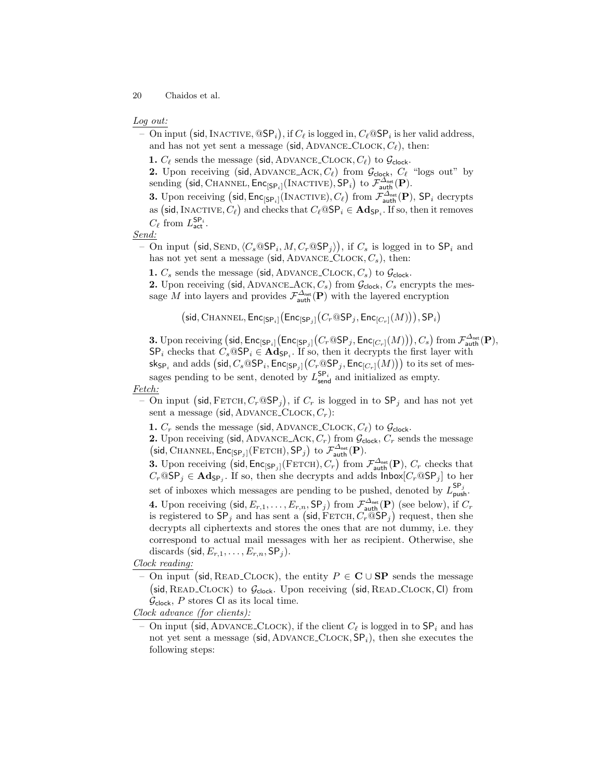Log out:

 $\overline{\phantom{a}}$  On input (sid, INACTIVE,  $@SP_i$ ), if  $C_{\ell}$  is logged in,  $C_{\ell} @ SP_i$  is her valid address, and has not yet sent a message (sid, ADVANCE\_CLOCK,  $C_{\ell}$ ), then:

1.  $C_{\ell}$  sends the message (sid, ADVANCE\_CLOCK,  $C_{\ell}$ ) to  $\mathcal{G}_{\text{clock}}$ .

2. Upon receiving (sid, ADVANCE\_ACK,  $C_{\ell}$ ) from  $\mathcal{G}_{\mathsf{clock}}, C_{\ell}$  "logs out" by sending (sid, CHANNEL,  $\mathsf{Enc}_{[\mathsf{SP}_i]}(\text{INACTIVE}), \mathsf{SP}_i)$  to  $\mathcal{F}_{\mathsf{auth}}^{\Delta_{\mathsf{net}}}(\mathbf{P})$ .

**3.** Upon receiving  $(\text{sid}, \text{Enc}_{[\text{SP}_i]}(\text{INACTIVE}), C_\ell)$  from  $\mathcal{F}_{\text{auth}}^{\Delta_{\text{net}}}(\textbf{P}), \text{SP}_i$  decrypts as (sid, INACTIVE,  $C_{\ell}$ ) and checks that  $C_{\ell}$  QSP<sub>i</sub>  $\in$  Ad<sub>SP<sub>i</sub></sub>. If so, then it removes  $C_{\ell}$  from  $L_{\text{act}}^{\text{SP}_i}$ .

Send:

- On input (sid, SEND,  $\langle C_s \mathbb{QSP}_i, M, C_r \mathbb{QSP}_j \rangle$ ), if  $C_s$  is logged in to  $SP_i$  and has not yet sent a message (sid, ADVANCE\_CLOCK,  $C_s$ ), then:

1.  $C_s$  sends the message (sid, ADVANCE\_CLOCK,  $C_s$ ) to  $\mathcal{G}_{\text{clock}}$ .

2. Upon receiving (sid, ADVANCE\_ACK,  $C_s$ ) from  $\mathcal{G}_{\text{clock}}$ ,  $C_s$  encrypts the message M into layers and provides  $\mathcal{F}^{\Delta_{\text{net}}}_{\text{auth}}(\textbf{P})$  with the layered encryption

 $(\textsf{sid}, \textsf{CHANNEL}, \textsf{Enc}_{[\textsf{SP}_i]}(\textsf{Enc}_{[\textsf{SP}_j]}(C_r@{\textsf{SP}_j}, \textsf{Enc}_{[C_r]}(M))), {\textsf{SP}_i})$ 

**3.** Upon receiving  $\big( \textsf{sid}, \textsf{Enc}_{[\mathsf{SP}_j]} \big( \mathsf{Enc}_{[\mathsf{SP}_j]}(C_r \text{@}\mathsf{SP}_j, \textsf{Enc}_{[C_r]}(M) \big) \big), C_s \big) \text{ from } \mathcal{F}_\mathsf{auth}^\mathsf{One}(\mathbf{P}),$  $\mathsf{SP}_i$  checks that  $C_s \mathbb{Q} \mathsf{SP}_i \in \mathbf{Ad}_{\mathsf{SP}_i}$ . If so, then it decrypts the first layer with  $\mathsf{sk}_{\mathsf{SP}_i}$  and adds  $\big( \mathsf{sid}, C_s@{\mathsf{SP}_i}, \mathsf{Enc}_{\mathsf{[SP}_j]} \big(C_r@{\mathsf{SP}_j}, \mathsf{Enc}_{[C_r]}(M) \big) \big)$  to its set of messages pending to be sent, denoted by  $L_{\text{send}}^{\text{SP}_i}$  and initialized as empty.

Fetch:

- On input (sid, FETCH,  $C_r$  QSP<sub>j</sub>), if  $C_r$  is logged in to SP<sub>j</sub> and has not yet sent a message (sid, ADVANCE\_CLOCK,  $C_r$ ):

1.  $C_r$  sends the message (sid, ADVANCE\_CLOCK,  $C_{\ell}$ ) to  $\mathcal{G}_{\text{clock}}$ .

**2.** Upon receiving (sid, ADVANCE\_ACK,  $C_r$ ) from  $\mathcal{G}_{clock}$ ,  $C_r$  sends the message  $(\text{sid}, \text{CHANNEL}, \text{Enc}_{\text{[SP}_j]}(\text{FETCH}), \text{SP}_j)$  to  $\mathcal{F}^{\Delta_{\text{net}}}_{\text{auth}}(\textbf{P}).$ 

**3.** Upon receiving  $(\text{sid}, \text{Enc}_{\text{[SP}_j]}(\text{FETCH}), C_r)$  from  $\mathcal{F}_{\text{auth}}^{\Delta_{\text{net}}}(\textbf{P}), C_r$  checks that  $C_r@{\sf SP}_j \in \mathbf{Ad}_{\mathsf{SP}_j}$ . If so, then she decrypts and adds  $\mathsf{Inbox}[C_r@{\sf SP}_j]$  to her set of inboxes which messages are pending to be pushed, denoted by  $L_{\text{push}}^{\text{SP}_j}$ .

4. Upon receiving (sid,  $E_{r,1}, \ldots, E_{r,n}$ , SP<sub>j</sub>) from  $\mathcal{F}_{\mathsf{auth}}^{\Delta_{\mathsf{net}}}(\mathbf{P})$  (see below), if  $C_r$ is registered to  $\overline{\text{SP}_j}$  and has sent a (sid, FETCH,  $C_r$   $\overline{\text{OSP}_j}$ ) request, then she decrypts all ciphertexts and stores the ones that are not dummy, i.e. they correspond to actual mail messages with her as recipient. Otherwise, she discards (sid,  $E_{r,1}, \ldots, E_{r,n}$ , SP<sub>j</sub>).

Clock reading:

– On input (sid, READ\_CLOCK), the entity  $P \in \mathbb{C} \cup \mathbb{SP}$  sends the message (sid, READ\_CLOCK) to  $G_{clock}$ . Upon receiving (sid, READ\_CLOCK, Cl) from  $\mathcal{G}_{\text{clock}}$ , P stores Cl as its local time.

Clock advance (for clients):

<sup>–</sup> On input (sid, ADVANCE\_CLOCK), if the client  $C_{\ell}$  is logged in to  $\mathsf{SP}_i$  and has not yet sent a message (sid, ADVANCE\_CLOCK,  $SP_i$ ), then she executes the following steps: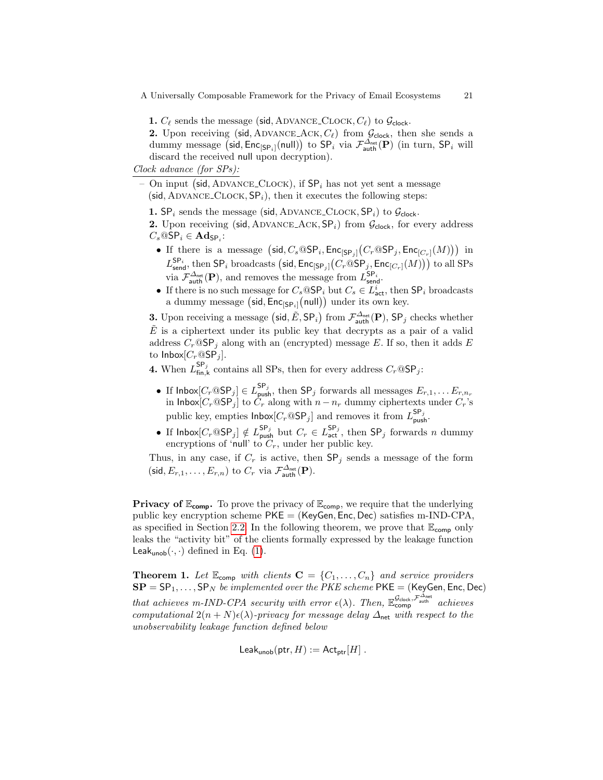- A Universally Composable Framework for the Privacy of Email Ecosystems 21
	- 1.  $C_{\ell}$  sends the message (sid, ADVANCE\_CLOCK,  $C_{\ell}$ ) to  $\mathcal{G}_{\text{clock}}$ .

2. Upon receiving (sid, ADVANCE\_ACK,  $C_{\ell}$ ) from  $\mathcal{G}_{\text{clock}}$ , then she sends a dummy message  $(\mathsf{sid}, \mathsf{Enc}_{[\mathsf{SP}_i]}(\mathsf{null}))$  to  $\mathsf{SP}_i$  via  $\mathcal{F}^\mathrm{A_\mathsf{net}}_\mathsf{auth}(\mathbf{P})$  (in turn,  $\mathsf{SP}_i$  will discard the received null upon decryption).

1.  $SP_i$  sends the message (sid, ADVANCE\_CLOCK,  $SP_i$ ) to  $G_{clock}$ .

2. Upon receiving (sid, ADVANCE<sub>ACK</sub>, SP<sub>i</sub>) from  $\mathcal{G}_{clock}$ , for every address  $C_s@{\sf SP}_i\in {\bf Ad}_{\mathsf{SP}_i}\colon$ 

- If there is a message  $(\text{sid}, C_s@SP_i, \text{Enc}_{[SP_j]}(C_r@SP_j, \text{Enc}_{[C_r]}(M)))$  in  $L_{\sf send}^{\sf SP_i}$ , then  $\sf SP_i$  broadcasts  $\bigl(\sf sid,Enc_{[SP_j]}\bigl(C_r@{\sf SP}_j,Enc_{[C_r]}(M)\bigr)\bigr)$  to all  $\rm SPs$ via  $\mathcal{F}_{\text{auth}}^{\Delta_{\text{net}}}(\mathbf{P})$ , and removes the message from  $L_{\text{send}}^{\text{SP}_{i}}$ .
- If there is no such message for  $C_s \tQSP_i$  but  $C_s \t L_{act}^i$ , then  $SP_i$  broadcasts a dummy message  $(\mathsf{sid}, \mathsf{Enc}_{[\mathsf{SP}_i]}(\mathsf{null}))$  under its own key.

**3.** Upon receiving a message (sid,  $\tilde{E}$ , SP<sub>i</sub>) from  $\mathcal{F}_{\text{auth}}^{\Delta_{\text{net}}}(\mathbf{P})$ , SP<sub>j</sub> checks whether  $E$  is a ciphertext under its public key that decrypts as a pair of a valid address  $C_r$  QSP<sub>i</sub> along with an (encrypted) message E. If so, then it adds E to Inbox $[C_r@SP_i]$ .

- **4.** When  $L_{\text{fin},k}^{\text{SP}_j}$  contains all SPs, then for every address  $C_r@{\text{SP}_j}$ :
	- If  $\text{Infoox}[C_r \overset{\text{op}}{\otimes} \text{Sp}_j] \in L^{\text{SP}_j}_{\text{push}}$ , then  $\text{SP}_j$  forwards all messages  $E_{r,1}, \ldots E_{r,n_r}$ in Inbox $[C_r \otimes \mathsf{SP}_j]$  to  $C_r$  along with  $n - n_r$  dummy ciphertexts under  $C_r$ 's public key, empties  $\mathsf{Inbox}[C_r \text{@SP}_j]$  and removes it from  $L^{\text{SP}_j}_{\text{push}}$ .
- If  $\text{Infox}[C_r \overset{\text{op}}{\otimes} \text{Sp}_j] \notin L_{\text{push}}^{\text{Sp}_j}$  but  $C_r \in L_{\text{act}}^{\text{Sp}_j}$ , then  $\text{SP}_j$  forwards n dummy encryptions of 'null' to  $C_r$ , under her public key.

Thus, in any case, if  $C_r$  is active, then  $\text{SP}_i$  sends a message of the form (sid,  $E_{r,1}, \ldots, E_{r,n}$ ) to  $C_r$  via  $\mathcal{F}_{\mathsf{auth}}^{\Delta_{\mathsf{net}}}(\mathbf{P})$ .

**Privacy of**  $\mathbb{E}_{\text{comp}}$ **.** To prove the privacy of  $\mathbb{E}_{\text{comp}}$ , we require that the underlying public key encryption scheme PKE = (KeyGen, Enc, Dec) satisfies m-IND-CPA, as specified in Section [2.2.](#page-4-0) In the following theorem, we prove that  $\mathbb{E}_{\text{comp}}$  only leaks the "activity bit" of the clients formally expressed by the leakage function Leak<sub>unob</sub> $(\cdot, \cdot)$  defined in Eq. [\(1\)](#page-13-0).

<span id="page-21-0"></span>**Theorem 1.** Let  $\mathbb{E}_{\text{comp}}$  with clients  $\mathbf{C} = \{C_1, \ldots, C_n\}$  and service providers  $SP = SP_1, \ldots, SP_N$  be implemented over the PKE scheme PKE = (KeyGen, Enc, Dec) that achieves m-IND-CPA security with error  $\epsilon(\lambda)$ . Then,  $\mathbb{E}_{\text{comp}}^{\mathcal{G}_{\text{clock}}, \mathcal{F}_{\text{auth}}^{\Delta_{\text{net}}} }$  achieves computational  $2(n+N)\epsilon(\lambda)$ -privacy for message delay  $\Delta_{\text{net}}$  with respect to the unobservability leakage function defined below

Leak<sub>unob</sub> $(\text{ptr}, H) := \text{Act}_{\text{ptr}}[H]$ .

Clock advance (for SPs):

<sup>-</sup> On input (sid, ADVANCE\_CLOCK), if  $SP_i$  has not yet sent a message (sid, ADVANCE\_CLOCK,  $SP_i$ ), then it executes the following steps: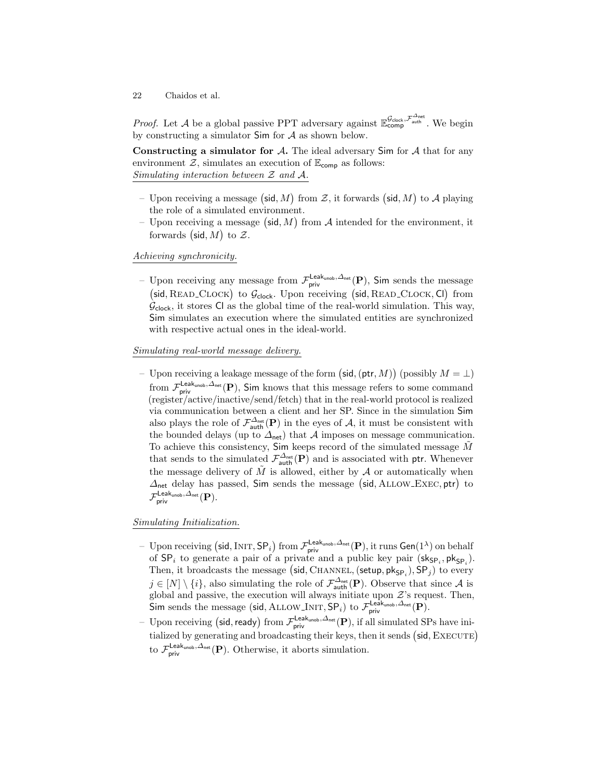*Proof.* Let A be a global passive PPT adversary against  $\mathbb{E}^{\mathcal{G}_{clock},\mathcal{F}_{auto}^{\mathcal{G}_{note}}$ . We begin by constructing a simulator  $\mathsf{Sim}$  for  $\mathcal A$  as shown below.

Constructing a simulator for  $A$ . The ideal adversary Sim for  $A$  that for any environment  $\mathcal{Z}$ , simulates an execution of  $\mathbb{E}_{\text{comp}}$  as follows: Simulating interaction between  $\mathcal Z$  and  $\mathcal A$ .

- Upon receiving a message (sid, M) from  $\mathcal{Z}$ , it forwards (sid, M) to A playing the role of a simulated environment.
- Upon receiving a message (sid, M) from  $A$  intended for the environment, it forwards (sid, M) to  $\mathcal{Z}$ .

Achieving synchronicity.

– Upon receiving any message from  $\mathcal{F}_{\text{priv}}^{\text{Leak}_{\text{unob}},\Delta_{\text{net}}}(\mathbf{P}),$  Sim sends the message (sid, READ\_CLOCK) to Gclock. Upon receiving (sid, READ\_CLOCK, Cl) from  $\mathcal{G}_{clock}$ , it stores Cl as the global time of the real-world simulation. This way, Sim simulates an execution where the simulated entities are synchronized with respective actual ones in the ideal-world.

#### Simulating real-world message delivery.

- Upon receiving a leakage message of the form  $(\text{sid}, (\text{ptr}, M))$  (possibly  $M = \perp$ ) from  $\mathcal{F}_{\text{priv}}^{\text{Leakunob},\Delta_{\text{net}}}(\mathbf{P}),$  Sim knows that this message refers to some command (register/active/inactive/send/fetch) that in the real-world protocol is realized via communication between a client and her SP. Since in the simulation Sim also plays the role of  $\mathcal{F}_{\text{auth}}^{\Delta_{\text{net}}}(\mathbf{P})$  in the eyes of  $\mathcal{A}$ , it must be consistent with the bounded delays (up to  $\varDelta_{\mathsf{net}})$  that  $\mathcal A$  imposes on message communication. To achieve this consistency,  $Sim$  keeps record of the simulated message  $M$ that sends to the simulated  $\mathcal{F}_{\text{auth}}^{\Delta_{\text{net}}}(\mathbf{P})$  and is associated with ptr. Whenever the message delivery of  $\tilde{M}$  is allowed, either by  $A$  or automatically when  $\Delta_{\text{net}}$  delay has passed, Sim sends the message (sid, ALLOW EXEC, ptr) to  $\mathcal{F}_{\mathsf{priv}}^{\mathsf{Leak}_{\mathsf{unob}},\mathcal{ \Delta}_{\mathsf{net}} }(\mathbf{P}).$ 

Simulating Initialization.

- $-$  Upon receiving (sid, INIT, SP $_i$ ) from  $\mathcal{F}_\mathsf{priv}^\mathsf{Leak_\mathsf{unob},\mathcal{A}_\mathsf{net}}(\mathbf{P}),$  it runs Gen(1 $^\lambda$ ) on behalf of  $\mathsf{SP}_i$  to generate a pair of a private and a public key pair  $(\mathsf{sk}_{\mathsf{SP}_i}, \mathsf{pk}_{\mathsf{SP}_i})$ . Then, it broadcasts the message (sid, CHANNEL, (setup,  $pk_{SP_i}$ ),  $SP_j$ ) to every  $j \in [N] \setminus \{i\}$ , also simulating the role of  $\mathcal{F}^{\Delta_{\text{net}}}_{\text{auth}}(\mathbf{P})$ . Observe that since A is global and passive, the execution will always initiate upon  $\mathcal{Z}$ 's request. Then, Sim sends the message (sid, ALLOW\_INIT,  $\text{SP}_i$ ) to  $\mathcal{F}_{\text{priv}}^{\text{Leak}_{\text{unob}},\Delta_{\text{net}}}(\textbf{P})$ .
- Upon receiving (sid, ready) from  $\mathcal{F}_{\text{priv}}^{\text{Leak}_{\text{unob}},\Delta_{\text{net}}}(\mathbf{P}),$  if all simulated SPs have initialized by generating and broadcasting their keys, then it sends (sid, EXECUTE) to  $\mathcal{F}_{\text{priv}}^{\text{Leak}_{\text{unob}},\Delta_{\text{net}}}(\mathbf{P})$ . Otherwise, it aborts simulation.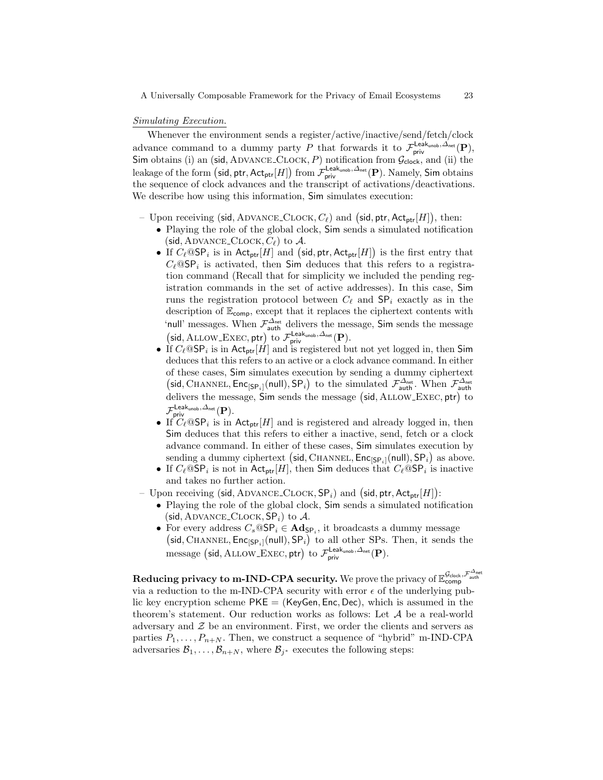#### Simulating Execution.

Whenever the environment sends a register/active/inactive/send/fetch/clock advance command to a dummy party P that forwards it to  $\mathcal{F}_{\text{priv}}^{\text{Leak}_{\text{unob}},\Delta_{\text{net}}}(\mathbf{P}),$ Sim obtains (i) an (sid, ADVANCE\_CLOCK, P) notification from  $\mathcal{G}_{\text{clock}}$ , and (ii) the leakage of the form (sid, ptr,  $Act_{\text{ptr}}[H])$  from  $\mathcal{F}_{\text{priv}}^{\text{Leak}_{\text{unob}},\Delta_{\text{net}}}(\textbf{P})$ . Namely, Sim obtains the sequence of clock advances and the transcript of activations/deactivations. We describe how using this information, Sim simulates execution:

- Upon receiving (sid, ADVANCE\_CLOCK,  $C_{\ell}$ ) and (sid, ptr, Act<sub>ptr</sub>[H]), then:
	- ∙ Playing the role of the global clock, Sim sends a simulated notification (sid, ADVANCE\_CLOCK,  $C_{\ell}$ ) to  $\mathcal{A}$ .
	- If  $C_{\ell} \mathbb{Q} \mathsf{SP}_i$  is in Act<sub>ptr</sub>[H] and (sid, ptr, Act<sub>ptr</sub>[H]) is the first entry that  $C_{\ell}$ @SP<sub>i</sub> is activated, then Sim deduces that this refers to a registration command (Recall that for simplicity we included the pending registration commands in the set of active addresses). In this case, Sim runs the registration protocol between  $C_{\ell}$  and  $SP_i$  exactly as in the description of  $\mathbb{E}_{\text{comp}}$ , except that it replaces the ciphertext contents with 'null' messages. When  $\mathcal{F}^{\Delta_{\text{net}}}_{\text{auth}}$  delivers the message, Sim sends the message  $(\text{sid}, \text{ALLOW\_EXEC}, \text{ptr})$  to  $\mathcal{F}_{\text{priv}}^{\text{Leak}_{\text{unob}}, \Delta_{\text{net}}}(\mathbf{P}).$
	- If  $C_{\ell}$ ©SP<sub>i</sub> is in Act<sub>ptr</sub>[H] and is registered but not yet logged in, then Sim deduces that this refers to an active or a clock advance command. In either of these cases, Sim simulates execution by sending a dummy ciphertext (sid, CHANNEL,  $\mathsf{Enc}_{[\mathsf{SP}_i]}(\mathsf{null}), \mathsf{SP}_i)$  to the simulated  $\mathcal{F}_{\mathsf{auth}}^{\Delta_{\mathsf{net}}}$ . When  $\mathcal{F}_{\mathsf{auth}}^{\Delta_{\mathsf{net}}}$ delivers the message, Sim sends the message (sid, ALLOW\_EXEC, ptr) to  $\mathcal{F}_{\mathsf{priv}}^{\mathsf{Leak}_{\mathsf{unob}},\mathcal{\Delta}_{\mathsf{net}}}(\mathbf{P}).$
	- If  $C_{\ell} \otimes \mathsf{SP}_i$  is in Act<sub>ptr</sub>[H] and is registered and already logged in, then Sim deduces that this refers to either a inactive, send, fetch or a clock advance command. In either of these cases, Sim simulates execution by sending a dummy ciphertext (sid, CHANNEL,  $\mathsf{Enc}_{[\mathsf{SP}_i]}(\mathsf{null}), \mathsf{SP}_i)$  as above.
	- If  $C_{\ell} \mathbb{Q} \mathsf{SP}_i$  is not in Act<sub>ptr</sub>[H], then Sim deduces that  $C_{\ell} \mathbb{Q} \mathsf{SP}_i$  is inactive and takes no further action.
- Upon receiving (sid, ADVANCE<sub>-CLOCK</sub>,  $SP_i$ ) and (sid, ptr, Act<sub>ptr</sub>[H]):
	- ∙ Playing the role of the global clock, Sim sends a simulated notification (sid, ADVANCE\_CLOCK,  $SP_i$ ) to A.
	- For every address  $C_s$ @SP<sub>i</sub> ∈ Ad<sub>SP<sub>i</sub></sub>, it broadcasts a dummy message  $(\text{sid}, \text{CHANNEL}, \text{Enc}_{\text{[SP}_i]}(\text{null}), \text{SP}_i)$  to all other SPs. Then, it sends the message (sid, ALLOW\_EXEC, ptr) to  $\mathcal{F}_{\textsf{priv}}^{\textsf{Leak}_{\textsf{unrob}},\Delta_{\textsf{net}}}(\textbf{P}).$

 $\textbf{Reducing privacy to m-IND-CPA security.}$  We prove the privacy of  $\mathbb{E}^{\mathcal{G}_{clock},\mathcal{F}^{\Delta_{net}}_{auth}}$ via a reduction to the m-IND-CPA security with error  $\epsilon$  of the underlying public key encryption scheme  $PKE = (KeyGen, Enc, Dec)$ , which is assumed in the theorem's statement. Our reduction works as follows: Let  $A$  be a real-world adversary and  $\mathcal Z$  be an environment. First, we order the clients and servers as parties  $P_1, \ldots, P_{n+N}$ . Then, we construct a sequence of "hybrid" m-IND-CPA adversaries  $\mathcal{B}_1, \ldots, \mathcal{B}_{n+N}$ , where  $\mathcal{B}_{j^*}$  executes the following steps: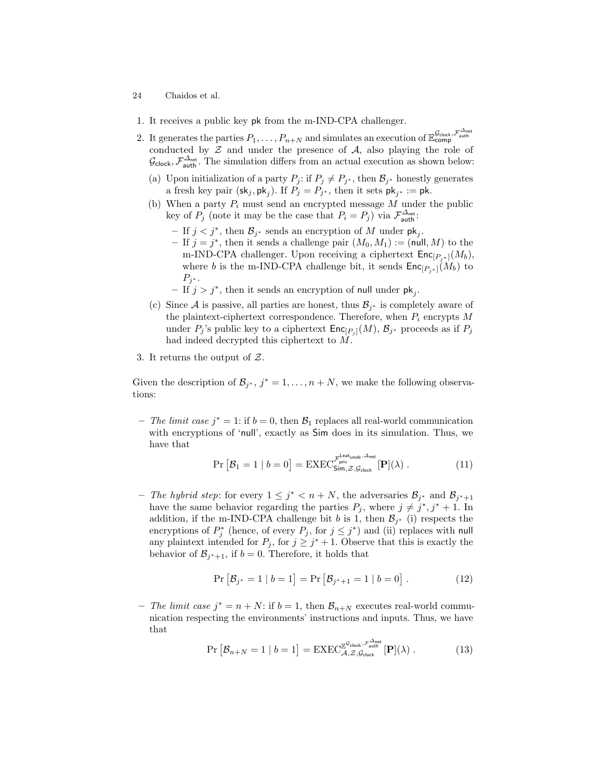- 24 Chaidos et al.
- 1. It receives a public key pk from the m-IND-CPA challenger.
- 2. It generates the parties  $P_1, \ldots, P_{n+N}$  and simulates an execution of  $\mathbb{E}_{\text{comp}}^{\mathcal{G}_{\text{clock}}, \mathcal{F}_{\text{auth}}^{\Delta_{\text{net}}}$ conducted by  $Z$  and under the presence of  $A$ , also playing the role of  $\mathcal{G}_{clock}, \mathcal{F}_{\text{auth}}^{\Delta_{\text{net}}}$ . The simulation differs from an actual execution as shown below:
	- (a) Upon initialization of a party  $P_j$ : if  $P_j \neq P_{j^*}$ , then  $\mathcal{B}_{j^*}$  honestly generates a fresh key pair  $(\mathsf{sk}_j, \mathsf{pk}_j)$ . If  $P_j = P_{j^*}$ , then it sets  $\mathsf{pk}_{j^*} := \mathsf{pk}$ .
	- (b) When a party  $P_i$  must send an encrypted message  $M$  under the public key of  $P_j$  (note it may be the case that  $P_i = P_j$ ) via  $\mathcal{F}^{\Delta_{\text{net}}}_{\text{auth}}$ :
		- If  $j < j^*$ , then  $\mathcal{B}_{j^*}$  sends an encryption of M under  $\mathsf{pk}_j$ .
		- If  $j = j^*$ , then it sends a challenge pair  $(M_0, M_1) := (\text{null}, M)$  to the m-IND-CPA challenger. Upon receiving a ciphertext  $\mathsf{Enc}_{[P_{\leq *}]}(M_b)$ , where b is the m-IND-CPA challenge bit, it sends  $\mathsf{Enc}_{[P_{\cdot*}]}(M_b)$  to  $P_{j^*}$ .

- If  $j > j^*$ , then it sends an encryption of null under  $pk_j$ .

- (c) Since A is passive, all parties are honest, thus  $\mathcal{B}_{j^*}$  is completely aware of the plaintext-ciphertext correspondence. Therefore, when  $P_i$  encrypts M under  $P_j$ 's public key to a ciphertext  $\mathsf{Enc}_{[P_j]}(M)$ ,  $\mathcal{B}_{j^*}$  proceeds as if  $P_j$ had indeed decrypted this ciphertext to  $M$ .
- 3. It returns the output of  $Z$ .

Given the description of  $\mathcal{B}_{j^*}, j^* = 1, \ldots, n+N$ , we make the following observations:

- The limit case  $j^* = 1$ : if  $b = 0$ , then  $\mathcal{B}_1$  replaces all real-world communication with encryptions of 'null', exactly as Sim does in its simulation. Thus, we have that

<span id="page-24-0"></span>
$$
\Pr\left[\mathcal{B}_1 = 1 \mid b = 0\right] = \text{EXEC}_{\text{Sim},\mathcal{Z},\mathcal{G}_{\text{clock}}}^{\mathcal{F}_{\text{priv}}^{\text{Leak}_{\text{unob}},\Delta_{\text{net}}}}[\mathbf{P}](\lambda) \,. \tag{11}
$$

- The hybrid step: for every  $1 \leq j^* < n + N$ , the adversaries  $\mathcal{B}_{j^*}$  and  $\mathcal{B}_{j^*+1}$ have the same behavior regarding the parties  $P_j$ , where  $j \neq j^*, j^* + 1$ . In addition, if the m-IND-CPA challenge bit *b* is 1, then  $\mathcal{B}_{j^*}$  (i) respects the encryptions of  $P_j^*$  (hence, of every  $P_j$ , for  $j \leq j^*$ ) and (ii) replaces with null any plaintext intended for  $P_j$ , for  $j \geq j^* + 1$ . Observe that this is exactly the behavior of  $\mathcal{B}_{j^*+1}$ , if  $b=0$ . Therefore, it holds that

<span id="page-24-1"></span>
$$
\Pr\left[\mathcal{B}_{j^*} = 1 \mid b = 1\right] = \Pr\left[\mathcal{B}_{j^*+1} = 1 \mid b = 0\right].\tag{12}
$$

<span id="page-24-2"></span>- The limit case  $j^* = n + N$ : if  $b = 1$ , then  $\mathcal{B}_{n+N}$  executes real-world communication respecting the environments' instructions and inputs. Thus, we have that

$$
\Pr\left[\mathcal{B}_{n+N} = 1 \mid b = 1\right] = \text{EXEC}_{\mathcal{A},\mathcal{Z},\mathcal{G}_{\text{clock}}}^{\mathbb{E}^{\mathcal{G}_{\text{clock}},\mathcal{F}_{\text{auth}}^{\mathcal{A}_{\text{net}}}}}[P](\lambda) \,. \tag{13}
$$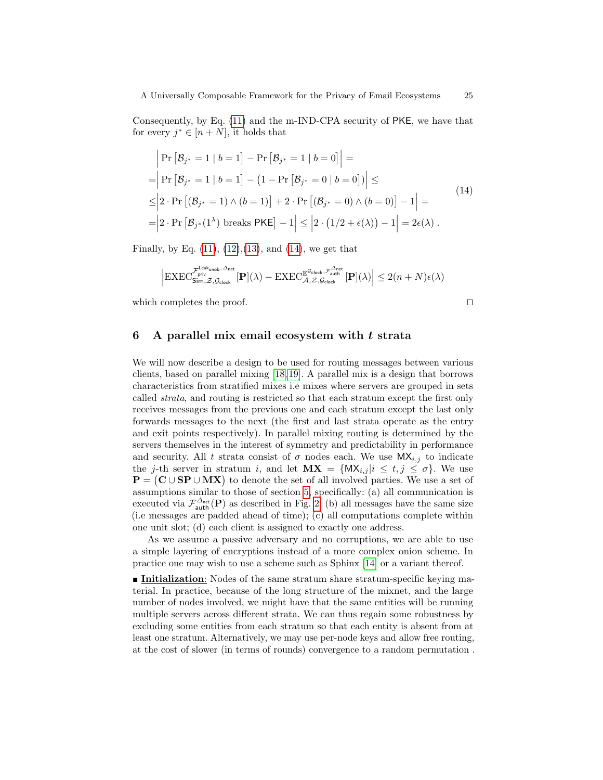Consequently, by Eq. [\(11\)](#page-24-0) and the m-IND-CPA security of PKE, we have that for every  $j^* \in [n+N]$ , it holds that

<span id="page-25-1"></span>
$$
\left| \Pr \left[ \mathcal{B}_{j^*} = 1 \mid b = 1 \right] - \Pr \left[ \mathcal{B}_{j^*} = 1 \mid b = 0 \right] \right| =
$$
\n
$$
= \left| \Pr \left[ \mathcal{B}_{j^*} = 1 \mid b = 1 \right] - (1 - \Pr \left[ \mathcal{B}_{j^*} = 0 \mid b = 0 \right] \right| \le
$$
\n
$$
\leq \left| 2 \cdot \Pr \left[ (\mathcal{B}_{j^*} = 1) \land (b = 1) \right] + 2 \cdot \Pr \left[ (\mathcal{B}_{j^*} = 0) \land (b = 0) \right] - 1 \right| =
$$
\n
$$
= \left| 2 \cdot \Pr \left[ \mathcal{B}_{j^*} (1^{\lambda}) \text{ breaks PKE} \right] - 1 \right| \leq \left| 2 \cdot (1/2 + \epsilon(\lambda)) - 1 \right| = 2\epsilon(\lambda) .
$$
\n
$$
(14)
$$

Finally, by Eq.  $(11)$ ,  $(12)$ ,  $(13)$ , and  $(14)$ , we get that

$$
\Big|\mathrm{EXEC}_{\mathsf{Sim},\mathcal{Z},\mathcal{G}_{\mathsf{clock}}}^{\mathcal{F}_{\mathsf{priv}}^{\mathsf{Leak}_{\mathsf{unob}},\Delta_{\mathsf{net}}}}[ \mathbf{P}](\lambda) - \mathrm{EXEC}_{\mathcal{A},\mathcal{Z},\mathcal{G}_{\mathsf{clock}}}^{\mathbb{E}^{\mathcal{G}_{\mathsf{clock}},\mathcal{F}_{\mathsf{aut}}^{\Delta_{\mathsf{net}}}}}[ \mathbf{P}](\lambda) \Big| \leq 2(n+N) \epsilon(\lambda)
$$

which completes the proof. □

## <span id="page-25-0"></span>6 A parallel mix email ecosystem with  $t$  strata

We will now describe a design to be used for routing messages between various clients, based on parallel mixing [\[18,](#page-33-10) [19\]](#page-33-18). A parallel mix is a design that borrows characteristics from stratified mixes i.e mixes where servers are grouped in sets called strata, and routing is restricted so that each stratum except the first only receives messages from the previous one and each stratum except the last only forwards messages to the next (the first and last strata operate as the entry and exit points respectively). In parallel mixing routing is determined by the servers themselves in the interest of symmetry and predictability in performance and security. All t strata consist of  $\sigma$  nodes each. We use  $\mathsf{MX}_{i,j}$  to indicate the j-th server in stratum i, and let  $MX = \{MX_{i,j} | i \leq t, j \leq \sigma\}$ . We use  $\mathbf{P} = (\mathbf{C} \cup \mathbf{S} \mathbf{P} \cup \mathbf{M} \mathbf{X})$  to denote the set of all involved parties. We use a set of assumptions similar to those of section [5,](#page-18-0) specifically: (a) all communication is executed via  $\mathcal{F}^{\Delta_{\text{net}}}_{\text{auth}}(\mathbf{P})$  as described in Fig. [2;](#page-11-0) (b) all messages have the same size (i.e messages are padded ahead of time); (c) all computations complete within one unit slot; (d) each client is assigned to exactly one address.

As we assume a passive adversary and no corruptions, we are able to use a simple layering of encryptions instead of a more complex onion scheme. In practice one may wish to use a scheme such as Sphinx [\[14\]](#page-32-14) or a variant thereof.

**Initialization:** Nodes of the same stratum share stratum-specific keying material. In practice, because of the long structure of the mixnet, and the large number of nodes involved, we might have that the same entities will be running multiple servers across different strata. We can thus regain some robustness by excluding some entities from each stratum so that each entity is absent from at least one stratum. Alternatively, we may use per-node keys and allow free routing, at the cost of slower (in terms of rounds) convergence to a random permutation .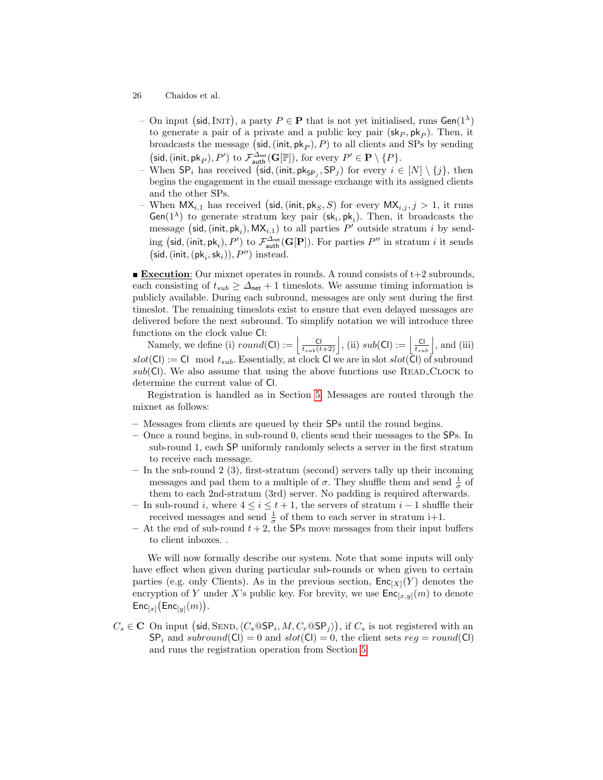- 26 Chaidos et al.
	- On input (sid, INIT), a party  $P \in \mathbf{P}$  that is not yet initialised, runs  $Gen(1^{\lambda})$ to generate a pair of a private and a public key pair  $(\mathsf{sk}_P, \mathsf{pk}_P)$ . Then, it broadcasts the message  $(\text{sid}, (\text{init}, \text{pk}_P), P)$  to all clients and SPs by sending  $(\mathsf{sid}, (\mathsf{init}, \mathsf{pk}_P), P') \text{ to } \mathcal{F}^{\Delta_{\mathsf{net}}}_{\mathsf{auth}}(\mathbf{G}[\mathbb{P}]), \text{ for every } P' \in \mathbf{P} \setminus \{P\}.$
	- When  $\mathsf{SP}_i$  has received (sid, (init,  $\mathsf{pk}_{\mathsf{SP}_j}, \mathsf{SP}_j$ ) for every  $i \in [N] \setminus \{j\}$ , then begins the engagement in the email message exchange with its assigned clients and the other SPs.
	- When  $\mathsf{MX}_{i,1}$  has received (sid, (init,  $\mathsf{pk}_S$ , S) for every  $\mathsf{MX}_{i,j}, j > 1$ , it runs  $Gen(1^{\lambda})$  to generate stratum key pair  $(\mathsf{sk}_i, \mathsf{pk}_i)$ . Then, it broadcasts the message (sid, (init,  $pk_i$ ),  $MX_{i,1}$ ) to all parties  $P'$  outside stratum i by sending (sid, (init, pk<sub>i</sub>), P') to  $\mathcal{F}^{\Delta_{\mathsf{net}}}_{\mathsf{auth}}(\mathbf{G}[\mathbf{P}]).$  For parties  $P''$  in stratum i it sends  $\left(\textsf{sid},(\textsf{init},(\textsf{pk}_i,\textsf{sk}_i)), P''\right)$  instead.

Execution: Our mixnet operates in rounds. A round consists of  $t+2$  subrounds, each consisting of  $t_{sub} \geq \Delta_{\text{net}} + 1$  timeslots. We assume timing information is publicly available. During each subround, messages are only sent during the first timeslot. The remaining timeslots exist to ensure that even delayed messages are delivered before the next subround. To simplify notation we will introduce three functions on the clock value Cl:

Namely, we define (i)  $round(C) := \left| \frac{C}{t_{sub}(t+2)} \right|$ , (ii)  $sub(C) := \left| \frac{C}{t_{sub}} \right|$ , and (iii)  $slot(C) := C1 \mod t_{sub}$ . Essentially, at clock Cl we are in slot  $slot(\bar{C})$  of subround  $sub(C)$ . We also assume that using the above functions use READ\_CLOCK to determine the current value of Cl.

Registration is handled as in Section [5.](#page-18-0) Messages are routed through the mixnet as follows:

- Messages from clients are queued by their SPs until the round begins.
- Once a round begins, in sub-round 0, clients send their messages to the SPs. In sub-round 1, each SP uniformly randomly selects a server in the first stratum to receive each message.
- In the sub-round 2 (3), first-stratum (second) servers tally up their incoming messages and pad them to a multiple of  $\sigma$ . They shuffle them and send  $\frac{1}{\sigma}$  of them to each 2nd-stratum (3rd) server. No padding is required afterwards.
- In sub-round i, where  $4 \le i \le t+1$ , the servers of stratum  $i-1$  shuffle their received messages and send  $\frac{1}{\sigma}$  of them to each server in stratum i+1.
- At the end of sub-round  $t + 2$ , the SPs move messages from their input buffers to client inboxes. .

We will now formally describe our system. Note that some inputs will only have effect when given during particular sub-rounds or when given to certain parties (e.g. only Clients). As in the previous section,  $Enc_{[X]}(Y)$  denotes the encryption of Y under X's public key. For brevity, we use  $\mathsf{Enc}_{[x,y]}(m)$  to denote  $\mathsf{Enc}_{[x]}(\mathsf{Enc}_{[y]}(m)).$ 

 $C_s \in \mathbb{C}$  On input (sid, SEND,  $\langle C_s \mathbb{QSP}_i, M, C_r \mathbb{QSP}_j \rangle$ ), if  $C_s$  is not registered with an  $SP_i$  and subround(Cl) = 0 and slot(Cl) = 0, the client sets  $reg = round(Cl)$ and runs the registration operation from Section [5.](#page-18-0)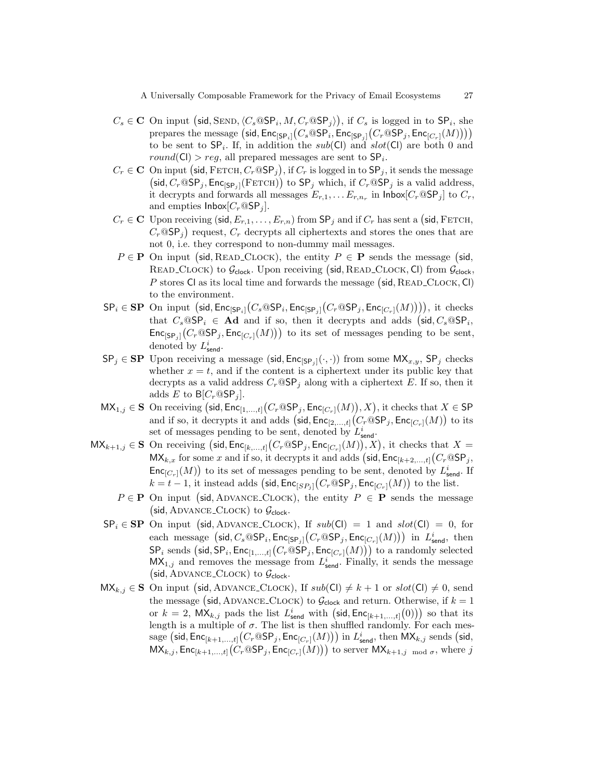- $C_s \in \mathbb{C}$  On input (sid, SEND,  $\langle C_s \mathbb{QSP}_i, M, C_r \mathbb{QSP}_j \rangle$ ), if  $C_s$  is logged in to  $\mathsf{SP}_i$ , she prepares the message  $(\textsf{sid}, \textsf{Enc}_{[\mathsf{SP}_i]}(C_s@\mathsf{SP}_i, \textsf{Enc}_{[\mathsf{SP}_j]}(C_r@\mathsf{SP}_j, \textsf{Enc}_{[C_r]}(M))))$ to be sent to  $\mathsf{SP}_i$ . If, in addition the sub(Cl) and slot(Cl) are both 0 and round(Cl) > reg, all prepared messages are sent to  $SP_i$ .
- $C_r \in \mathbb{C}$  On input (sid, FETCH,  $C_r$  QSP<sub>j</sub>), if  $C_r$  is logged in to SP<sub>j</sub>, it sends the message  $(\text{sid}, C_r \text{@SP}_j, \text{Enc}_{\text{SP}_j}(\text{FETCH}))$  to  $\text{SP}_j$  which, if  $C_r \text{@SP}_j$  is a valid address, it decrypts and forwards all messages  $E_{r,1}, \ldots E_{r,n_r}$  in  $\textsf{Inbox}[C_r \text{@SP}_j]$  to  $C_r$ , and empties  $\textsf{Inbox}[C_r@SP_i]$ .
- $C_r \in \mathbb{C}$  Upon receiving (sid,  $E_{r,1}, \ldots, E_{r,n}$ ) from  $\mathsf{SP}_j$  and if  $C_r$  has sent a (sid, FETCH,  $C_r$ <sup>®</sup>SP<sub>j</sub>) request,  $C_r$  decrypts all ciphertexts and stores the ones that are not 0, i.e. they correspond to non-dummy mail messages.
- $P \in \mathbf{P}$  On input (sid, READ\_CLOCK), the entity  $P \in \mathbf{P}$  sends the message (sid, READ\_CLOCK) to  $\mathcal{G}_{clock}$ . Upon receiving (sid, READ\_CLOCK, CI) from  $\mathcal{G}_{clock}$ ,  $P$  stores Cl as its local time and forwards the message (sid, READ\_CLOCK, Cl) to the environment.
- $\mathsf{SP}_i \in \mathbf{SP}$  On input  $\big(\mathsf{sid}, \mathsf{Enc}_{\mathsf{[SP}_i]}(C_s@\mathsf{SP}_i, \mathsf{Enc}_{\mathsf{[SP}_j]}(C_r@\mathsf{SP}_j, \mathsf{Enc}_{[C_r]}(M))\big)\big),$  it checks that  $C_s \t{Q} \t{S} P_i \t{A} d$  and if so, then it decrypts and adds  $(\text{sid}, C_s \t{Q} \t{S} P_i,$  $\mathsf{Enc}_{\mathsf{[SP}_j]}(C_r \mathsf{QSP}_j, \mathsf{Enc}_{[C_r]}(M)))$  to its set of messages pending to be sent, denoted by  $L^i_{\text{send}}$ .
- $\mathsf{SP}_j \in \mathbf{SP}$  Upon receiving a message (sid,  $\mathsf{Enc}_{\mathsf{SP}_j}(\cdot, \cdot)$ ) from some  $\mathsf{MX}_{x,y}$ ,  $\mathsf{SP}_j$  checks whether  $x = t$ , and if the content is a ciphertext under its public key that decrypts as a valid address  $C_r$  QSP<sub>j</sub> along with a ciphertext E. If so, then it adds E to  $\mathsf{B}[C_r \mathsf{QSP}_j].$
- $\mathsf{MX}_{1,j} \in \mathbf{S}$  On receiving  $(\mathsf{sid}, \mathsf{Enc}_{[1,...,t]}(C_r \mathbf{QSP}_j, \mathsf{Enc}_{[C_r]}(M)), X),$  it checks that  $X \in \mathsf{SP}$ and if so, it decrypts it and adds  $\left(\textsf{sid}, \textsf{Enc}_{[2,...,t]}(C_r \text{@SP}_j, \textsf{Enc}_{[C_r]}(M)\right)$  to its set of messages pending to be sent, denoted by  $L^i_{\text{send}}$ .
- $\mathsf{MX}_{k+1,j} \in \mathbf{S}$  On receiving  $(\mathsf{sid}, \mathsf{Enc}_{[k,...,t]}(C_r \mathbb{QSP}_j, \mathsf{Enc}_{[C_r]}(M)), X),$  it checks that  $X =$  $\mathsf{MX}_{k,x}$  for some x and if so, it decrypts it and adds (sid,  $\mathsf{Enc}_{[k+2,\ldots,t]}(C_r \mathsf{QSP}_j)$ ,  $\mathsf{Enc}_{[C_r]}(M)$  to its set of messages pending to be sent, denoted by  $L^i_{\mathsf{send}}$ . If  $k = t - 1$ , it instead adds (sid,  $\mathsf{Enc}_{[SP_j]}(C_r \text{@SP}_j, \mathsf{Enc}_{[C_r]}(M))$  to the list.
	- $P \in \mathbf{P}$  On input (sid, ADVANCE\_CLOCK), the entity  $P \in \mathbf{P}$  sends the message (sid, ADVANCE\_CLOCK) to  $\mathcal{G}_{clock}$ .
	- $\mathsf{SP}_i \in \mathbf{SP}$  On input (sid, ADVANCE\_CLOCK), If  $sub(\mathsf{Cl}) = 1$  and  $slot(\mathsf{Cl}) = 0$ , for each message  $(\textsf{sid}, C_s@SP_i, \textsf{Enc}_{[SP_j]}(C_r@SP_j, \textsf{Enc}_{[C_r]}(M)))$  in  $L^i_{\textsf{send}}$ , then  $\mathsf{SP}_i$  sends  $\big(\mathsf{sid},\mathsf{SP}_i,\mathsf{Enc}_{[1,...,t]} \big(C_r@\mathsf{SP}_j,\mathsf{Enc}_{[C_r]}(M)\big)\big)$  to a randomly selected  $\mathsf{MX}_{1,j}$  and removes the message from  $L^i_{\text{send}}$ . Finally, it sends the message (sid, ADVANCE\_CLOCK) to  $\mathcal{G}_{clock}$ .
	- $\mathsf{MX}_{k,j} \in \mathbf{S}$  On input (sid, ADVANCE\_CLOCK), If  $sub(\mathsf{CI}) \neq k+1$  or  $slot(\mathsf{CI}) \neq 0$ , send the message (sid, ADVANCE\_CLOCK) to  $\mathcal{G}_{\text{clock}}$  and return. Otherwise, if  $k = 1$ or  $k=2$ ,  $\mathsf{MX}_{k,j}$  pads the list  $L^i_\mathsf{send}$  with  $\big(\mathsf{sid}, \mathsf{Enc}_{[k+1,...,t]}(0)\big)\big)$  so that its length is a multiple of  $\sigma$ . The list is then shuffled randomly. For each mes- $\text{stage } \big(\textsf{sid}, \textsf{Enc}_{[k+1,...,t]} \big(C_r \textcircled{S}\textsf{P}_j, \textsf{Enc}_{[C_r]}(M)\big)\big) \text{ in } L^i_\mathsf{send}, \text{ then } \mathsf{MX}_{k,j} \text{ sends } \big(\textsf{sid},$  $\mathsf{MX}_{k,j}, \mathsf{Enc}_{[k+1,...,t]}(C_r@\mathsf{SP}_j, \mathsf{Enc}_{[C_r]}(M)))$  to server  $\mathsf{MX}_{k+1,j \mod \sigma},$  where  $j$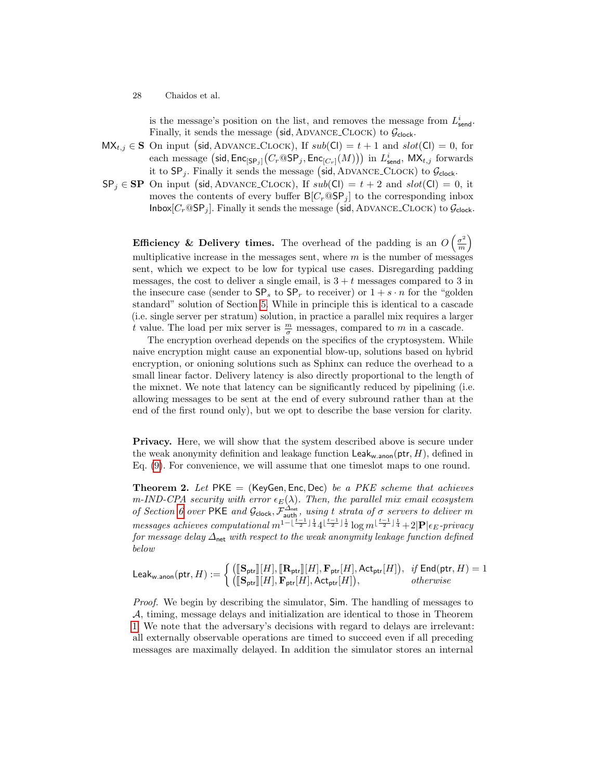is the message's position on the list, and removes the message from  $L^i_{\text{send}}$ . Finally, it sends the message (sid, ADVANCE\_CLOCK) to  $\mathcal{G}_{\text{clock}}$ .

- $\mathsf{MX}_{t,j} \in \mathbf{S}$  On input (sid, ADVANCE\_CLOCK), If  $sub(\mathsf{CI}) = t + 1$  and  $slot(\mathsf{CI}) = 0$ , for each message  $\big(\textsf{sid}, \textsf{Enc}_{[\textsf{SP}_j]}(C_r@{\textsf{SP}_j}, \textsf{Enc}_{[C_r]}(M))\big)$  in  $L^i_\mathsf{send}, \textsf{MX}_{t,j}$  forwards it to  $\mathsf{SP}_j$ . Finally it sends the message (sid, ADVANCE\_CLOCK) to  $\mathcal{G}_{\text{clock}}$ .
- $\mathsf{SP}_j \in \mathbf{SP}$  On input (sid, ADVANCE\_CLOCK), If  $sub(\mathsf{CI}) = t + 2$  and  $slot(\mathsf{CI}) = 0$ , it moves the contents of every buffer  $B[C_r@SP_i]$  to the corresponding inbox  $\textsf{Infoox}[C_r \text{@SP}_j]$ . Finally it sends the message (sid, ADVANCE\_CLOCK) to  $\mathcal{G}_{\textsf{clock}}$ .

**Efficiency & Delivery times.** The overhead of the padding is an  $O\left(\frac{\sigma^2}{m}\right)$  $\left(\frac{\sigma^2}{m}\right)$ multiplicative increase in the messages sent, where  $m$  is the number of messages sent, which we expect to be low for typical use cases. Disregarding padding messages, the cost to deliver a single email, is  $3 + t$  messages compared to 3 in the insecure case (sender to  $SP_s$  to  $SP_r$  to receiver) or  $1 + s \cdot n$  for the "golden standard" solution of Section [5.](#page-18-0) While in principle this is identical to a cascade (i.e. single server per stratum) solution, in practice a parallel mix requires a larger t value. The load per mix server is  $\frac{m}{\sigma}$  messages, compared to m in a cascade.

The encryption overhead depends on the specifics of the cryptosystem. While naive encryption might cause an exponential blow-up, solutions based on hybrid encryption, or onioning solutions such as Sphinx can reduce the overhead to a small linear factor. Delivery latency is also directly proportional to the length of the mixnet. We note that latency can be significantly reduced by pipelining (i.e. allowing messages to be sent at the end of every subround rather than at the end of the first round only), but we opt to describe the base version for clarity.

Privacy. Here, we will show that the system described above is secure under the weak anonymity definition and leakage function  $\mathsf{Leak}_{\mathsf{w}.\mathsf{anon}}(\mathsf{ptr}, H)$ , defined in Eq. [\(9\)](#page-16-0). For convenience, we will assume that one timeslot maps to one round.

**Theorem 2.** Let  $PKE = (KeyGen, Enc, Dec)$  be a PKE scheme that achieves m-IND-CPA security with error  $\epsilon_E(\lambda)$ . Then, the parallel mix email ecosystem of Section [6](#page-25-0) over PKE and  $\mathcal{G}_{clock}$ ,  $\mathcal{F}_{auth}^{\Delta_{net}}$ , using t strata of  $\sigma$  servers to deliver m  $\emph{messages achieves computational} \ m^{1-\lfloor \frac{t-1}{2} \rfloor \frac{1}{4}} 4^{\lfloor \frac{t-1}{2} \rfloor \frac{1}{2}} \log m^{\lfloor \frac{t-1}{2} \rfloor \frac{1}{4}} + 2 |\mathbf{P}| \epsilon_E \text{-} \emph{pivacy}$ for message delay  $\Delta_{\text{net}}$  with respect to the weak anonymity leakage function defined below

Leak<sub>w.anon</sub>(ptr,  $H$ ) :=  $\left\{ \begin{array}{ll} ([\mathbb{S}_{\sf ptr}]][H], [\mathbb{R}_{\sf ptr}]][H], \mathbf{F}_{\sf ptr}[H], {\sf Act}_{\sf ptr}[H]), & \text{if } {\sf End}({\sf ptr},H) = 1 \ (\mathbb{S}_{\sf pt} \parallel \mathbb{I} \parallel \mathbf{F}_{\sf pt}[H], {\sf Act} \parallel [H]) & \text{otherwise} \end{array} \right.$  $([\mathbf{S}_{\text{ptr}}][H], \mathbf{F}_{\text{ptr}}[H], \text{Act}_{\text{ptr}}[H]),$  otherwise

Proof. We begin by describing the simulator, Sim. The handling of messages to , timing, message delays and initialization are identical to those in Theorem [1.](#page-21-0) We note that the adversary's decisions with regard to delays are irrelevant: all externally observable operations are timed to succeed even if all preceding messages are maximally delayed. In addition the simulator stores an internal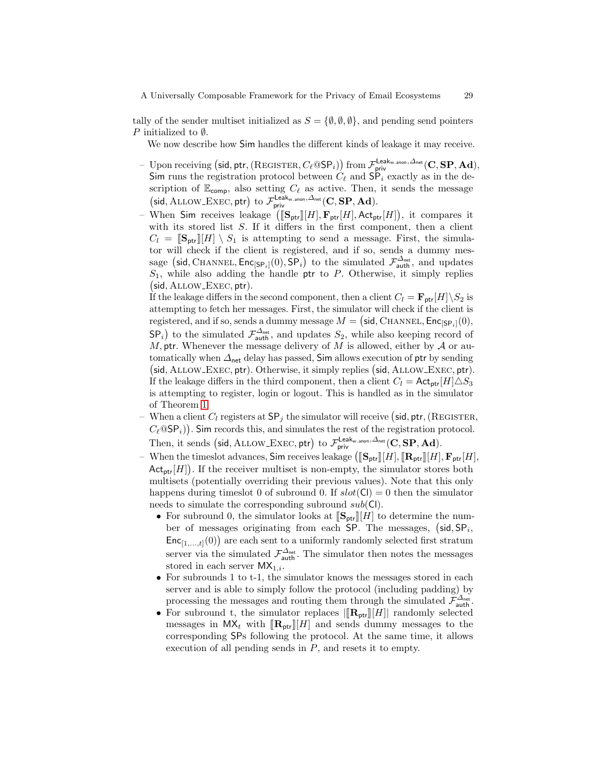tally of the sender multiset initialized as  $S = \{ \emptyset, \emptyset, \emptyset \}$ , and pending send pointers P initialized to  $\emptyset$ .

We now describe how Sim handles the different kinds of leakage it may receive.

- $\ {\rm Upon\ receiving\ (sid,ptr,({\rm REGISTER},C_\ell@{\sf SP}_i))\ from\ } {\cal F}^{{\sf Leak}_{w.\textsf{anon}},\Delta_{\sf net}}_{\sf priv}({\bf C},{\bf SP},{\bf Ad}),$ Sim runs the registration protocol between  $C_{\ell}$  and  $SP_i$  exactly as in the description of  $\mathbb{E}_{\text{comp}}$ , also setting  $C_{\ell}$  as active. Then, it sends the message (sid, ALLOW\_EXEC, ptr) to  $\mathcal{F}_{\text{priv}}^{\text{Leak}_{w. \text{anon}}, \Delta_{\text{net}}}(\mathbf{C}, \mathbf{SP}, \mathbf{Ad}).$
- When Sim receives leakage  $([\mathbf{S}_{\text{ptr}}][H], \mathbf{F}_{\text{ptr}}[H], \mathsf{Act}_{\text{ptr}}[H])$ , it compares it with its stored list S. If it differs in the first component, then a gliont with its stored list  $S$ . If it differs in the first component, then a client  $C_l = \mathbb{S}_{\text{ptr}}[H] \setminus S_1$  is attempting to send a message. First, the simulator will check if the client is registered, and if so, sends a dummy message (sid, CHANNEL,  $\mathsf{Enc}_{\{SP_i\}}(0), \mathsf{SP}_i$ ) to the simulated  $\mathcal{F}^{\Delta_{\mathsf{net}}}_{\mathsf{auth}}$ , and updates  $S_1$ , while also adding the handle ptr to P. Otherwise, it simply replies (sid, ALLOW\_EXEC, ptr).

If the leakage differs in the second component, then a client  $C_l = \mathbf{F}_{\text{ptr}}[H]\backslash S_2$  is attempting to fetch her messages. First, the simulator will check if the client is registered, and if so, sends a dummy message  $M = (sid, CHANNEL, Enc_{[SP_i]}(0),$  $SP_i$ ) to the simulated  $\mathcal{F}_{\text{auth}}^{\Delta_{\text{net}}}$ , and updates  $S_2$ , while also keeping record of  $M$ , ptr. Whenever the message delivery of  $M$  is allowed, either by  $A$  or automatically when  $\Delta_{\text{net}}$  delay has passed, Sim allows execution of ptr by sending (sid, ALLOW\_EXEC, ptr). Otherwise, it simply replies (sid, ALLOW\_EXEC, ptr). If the leakage differs in the third component, then a client  $C_l = \mathsf{Act}_{\mathsf{ptr}}[H] \triangle S_3$ is attempting to register, login or logout. This is handled as in the simulator of Theorem [1.](#page-21-0)

- When a client  $C_l$  registers at  $\mathsf{SP}_j$  the simulator will receive (sid, ptr, (REGISTER,  $C_{\ell}$ <sup>(a</sup>SP<sub>i</sub>)). Sim records this, and simulates the rest of the registration protocol. Then, it sends (sid, ALLOW\_EXEC, ptr) to  $\mathcal{F}^{\mathsf{Leak}_{\mathsf{w}.\mathsf{anon}},\Delta_{\mathsf{net}}}(\mathbf{C},\mathbf{SP},\mathbf{Ad}).$ 

– When the timeslot advances, Sim receives leakage  $([\mathbf{S}_{\text{ptr}}][H], [\mathbf{R}_{\text{ptr}}][H], \mathbf{F}_{\text{ptr}}[H],$ <br>Act.  $[[H]]$ , If the receiver multiset is non-empty, the simulator stans hath  $\mathsf{Act}_{\mathsf{ptr}}[H]$ . If the receiver multiset is non-empty, the simulator stores both multisets (potentially overriding their previous values). Note that this only happens during timeslot 0 of subround 0. If  $slot(C) = 0$  then the simulator needs to simulate the corresponding subround  $sub(C)$ .

- For subround 0, the simulator looks at  $[\mathbf{S}_{\text{ptr}}][H]$  to determine the number of messages originating from each SP. The messages,  $(\text{sid}, \text{SP}_i,$  $Enc_{[1,...,t]}(0)$  are each sent to a uniformly randomly selected first stratum server via the simulated  $\mathcal{F}^{\Delta_{\text{net}}}_{\text{auth}}$ . The simulator then notes the messages stored in each server  $MX_{1,i}$ .
- ∙ For subrounds 1 to t-1, the simulator knows the messages stored in each server and is able to simply follow the protocol (including padding) by processing the messages and routing them through the simulated  $\mathcal{F}^{\Delta_{\text{net}}}_{\text{auth}}$ .
- For subround t, the simulator replaces  $\|\mathbf{R}_{\text{ptr}}\| [H] \|$  randomly selected messages in  $M_{t}$  with  $[\mathbf{R}_{\text{ptr}}][H]$  and sends dummy messages to the corresponding SPs following the protocol. At the same time, it allows execution of all pending sends in  $P$ , and resets it to empty.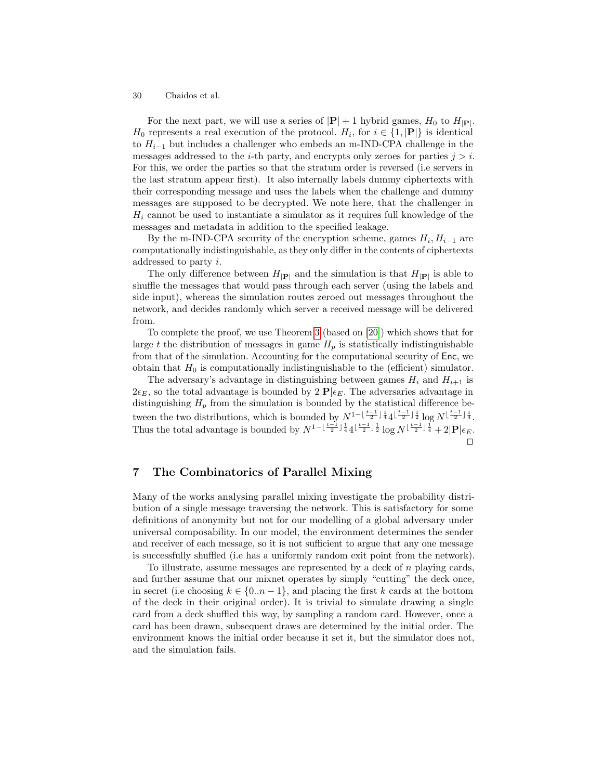For the next part, we will use a series of  $|\mathbf{P}| + 1$  hybrid games,  $H_0$  to  $H_{|\mathbf{P}|}$ .  $H_0$  represents a real execution of the protocol.  $H_i$ , for  $i \in \{1, |\mathbf{P}|\}$  is identical to  $H_{i-1}$  but includes a challenger who embeds an m-IND-CPA challenge in the messages addressed to the *i*-th party, and encrypts only zeroes for parties  $j > i$ . For this, we order the parties so that the stratum order is reversed (i.e servers in the last stratum appear first). It also internally labels dummy ciphertexts with their corresponding message and uses the labels when the challenge and dummy messages are supposed to be decrypted. We note here, that the challenger in  $H_i$  cannot be used to instantiate a simulator as it requires full knowledge of the messages and metadata in addition to the specified leakage.

By the m-IND-CPA security of the encryption scheme, games  $H_i, H_{i-1}$  are computationally indistinguishable, as they only differ in the contents of ciphertexts addressed to party  $i$ .

The only difference between  $H_{|\mathbf{P}|}$  and the simulation is that  $H_{|\mathbf{P}|}$  is able to shuffle the messages that would pass through each server (using the labels and side input), whereas the simulation routes zeroed out messages throughout the network, and decides randomly which server a received message will be delivered from.

To complete the proof, we use Theorem [3](#page-31-0) (based on [\[20\]](#page-33-19)) which shows that for large t the distribution of messages in game  $H_p$  is statistically indistinguishable from that of the simulation. Accounting for the computational security of Enc, we obtain that  $H_0$  is computationally indistinguishable to the (efficient) simulator.

The adversary's advantage in distinguishing between games  $H_i$  and  $H_{i+1}$  is  $2\epsilon_E$ , so the total advantage is bounded by  $2|\mathbf{P}|\epsilon_E$ . The adversaries advantage in distinguishing  $H_p$  from the simulation is bounded by the statistical difference between the two distributions, which is bounded by  $N^{1-\lfloor \frac{t-1}{2} \rfloor \frac{1}{4}} 4^{\lfloor \frac{t-1}{2} \rfloor \frac{1}{2}} \log N^{\lfloor \frac{t-1}{2} \rfloor \frac{1}{4}}$ . Thus the total advantage is bounded by  $N^{1-\lfloor \frac{t-1}{2} \rfloor \frac{1}{4}} 4^{\lfloor \frac{t-1}{2} \rfloor \frac{1}{2}} \log N^{\lfloor \frac{t-1}{2} \rfloor \frac{1}{4}} + 2|\mathbf{P}| \epsilon_E$ . ⊓⊔

## <span id="page-30-0"></span>7 The Combinatorics of Parallel Mixing

Many of the works analysing parallel mixing investigate the probability distribution of a single message traversing the network. This is satisfactory for some definitions of anonymity but not for our modelling of a global adversary under universal composability. In our model, the environment determines the sender and receiver of each message, so it is not sufficient to argue that any one message is successfully shuffled (i.e has a uniformly random exit point from the network).

To illustrate, assume messages are represented by a deck of  $n$  playing cards, and further assume that our mixnet operates by simply "cutting" the deck once, in secret (i.e choosing  $k \in \{0..n-1\}$ , and placing the first k cards at the bottom of the deck in their original order). It is trivial to simulate drawing a single card from a deck shuffled this way, by sampling a random card. However, once a card has been drawn, subsequent draws are determined by the initial order. The environment knows the initial order because it set it, but the simulator does not, and the simulation fails.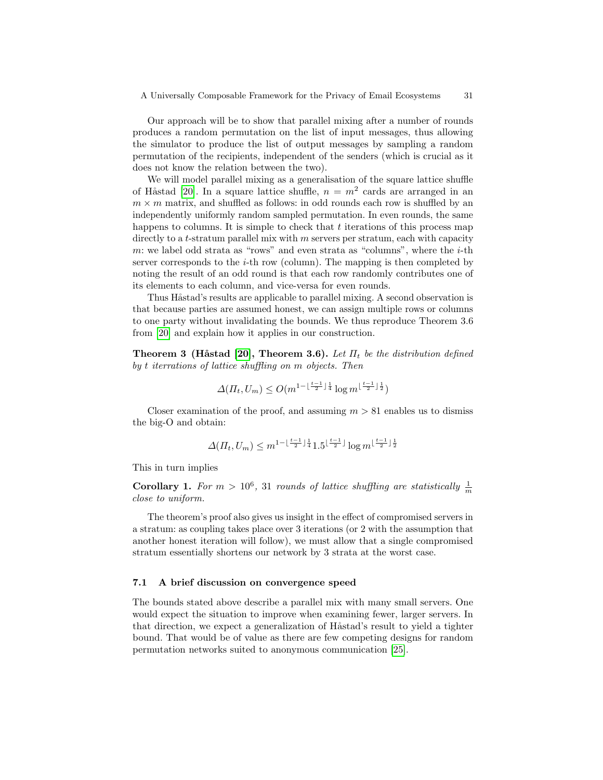Our approach will be to show that parallel mixing after a number of rounds produces a random permutation on the list of input messages, thus allowing the simulator to produce the list of output messages by sampling a random permutation of the recipients, independent of the senders (which is crucial as it does not know the relation between the two).

We will model parallel mixing as a generalisation of the square lattice shuffle of Håstad [\[20\]](#page-33-19). In a square lattice shuffle,  $n = m^2$  cards are arranged in an  $m \times m$  matrix, and shuffled as follows: in odd rounds each row is shuffled by an independently uniformly random sampled permutation. In even rounds, the same happens to columns. It is simple to check that  $t$  iterations of this process map directly to a *t*-stratum parallel mix with  $m$  servers per stratum, each with capacity  $m:$  we label odd strata as "rows" and even strata as "columns", where the  $i$ -th server corresponds to the  $i$ -th row (column). The mapping is then completed by noting the result of an odd round is that each row randomly contributes one of its elements to each column, and vice-versa for even rounds.

Thus Håstad's results are applicable to parallel mixing. A second observation is that because parties are assumed honest, we can assign multiple rows or columns to one party without invalidating the bounds. We thus reproduce Theorem 3.6 from [\[20\]](#page-33-19) and explain how it applies in our construction.

<span id="page-31-0"></span>**Theorem 3 (Håstad [\[20\]](#page-33-19), Theorem 3.6).** Let  $\Pi_t$  be the distribution defined by  $t$  iterrations of lattice shuffling on  $m$  objects. Then

$$
\Delta(\Pi_t, U_m) \le O(m^{1 - \left\lfloor \frac{t-1}{2} \right\rfloor \frac{1}{4}} \log m^{\left\lfloor \frac{t-1}{2} \right\rfloor \frac{1}{2}})
$$

Closer examination of the proof, and assuming  $m > 81$  enables us to dismiss the big-O and obtain:

$$
\varDelta(\varPi_t,U_m)\leq m^{1-\lfloor\frac{t-1}{2}\rfloor\frac{1}{4}}1.5^{\lfloor\frac{t-1}{2}\rfloor}\log m^{\lfloor\frac{t-1}{2}\rfloor\frac{1}{2}}
$$

This in turn implies

**Corollary 1.** For  $m > 10^6$ , 31 rounds of lattice shuffling are statistically  $\frac{1}{m}$ close to uniform.

The theorem's proof also gives us insight in the effect of compromised servers in a stratum: as coupling takes place over 3 iterations (or 2 with the assumption that another honest iteration will follow), we must allow that a single compromised stratum essentially shortens our network by 3 strata at the worst case.

#### 7.1 A brief discussion on convergence speed

The bounds stated above describe a parallel mix with many small servers. One would expect the situation to improve when examining fewer, larger servers. In that direction, we expect a generalization of Håstad's result to yield a tighter bound. That would be of value as there are few competing designs for random permutation networks suited to anonymous communication [\[25\]](#page-33-8).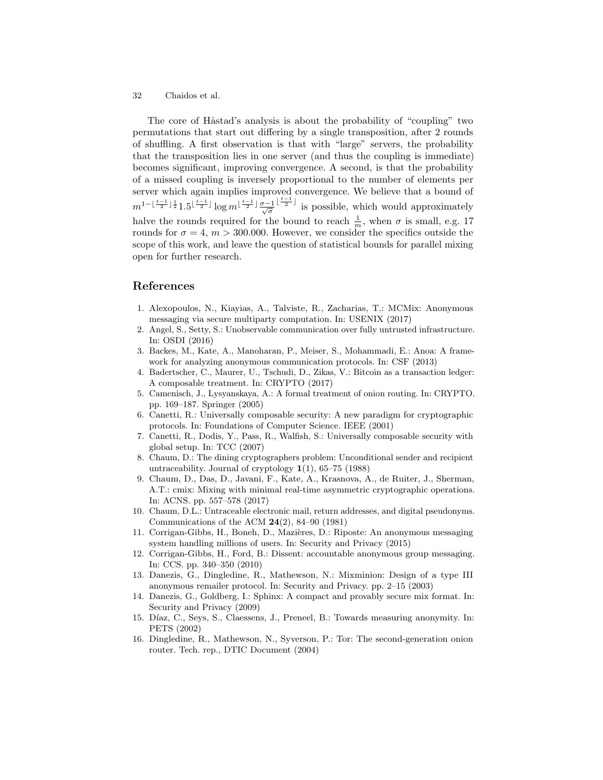The core of Håstad's analysis is about the probability of "coupling" two permutations that start out differing by a single transposition, after 2 rounds of shuffling. A first observation is that with "large" servers, the probability that the transposition lies in one server (and thus the coupling is immediate) becomes significant, improving convergence. A second, is that the probability of a missed coupling is inversely proportional to the number of elements per server which again implies improved convergence. We believe that a bound of  $m^{1-\lfloor\frac{t-1}{2}\rfloor\frac{1}{2}}1.5^{\lfloor\frac{t-1}{2}\rfloor}\log m^{\lfloor\frac{t-1}{2}\rfloor}\frac{\sigma-1}{\sqrt{\sigma}}$  $\lfloor \frac{t-1}{2} \rfloor$  is possible, which would approximately halve the rounds required for the bound to reach  $\frac{1}{m}$ , when  $\sigma$  is small, e.g. 17 rounds for  $\sigma = 4$ ,  $m > 300.000$ . However, we consider the specifics outside the scope of this work, and leave the question of statistical bounds for parallel mixing open for further research.

## References

- <span id="page-32-7"></span>1. Alexopoulos, N., Kiayias, A., Talviste, R., Zacharias, T.: MCMix: Anonymous messaging via secure multiparty computation. In: USENIX (2017)
- <span id="page-32-3"></span>2. Angel, S., Setty, S.: Unobservable communication over fully untrusted infrastructure. In: OSDI (2016)
- <span id="page-32-10"></span>3. Backes, M., Kate, A., Manoharan, P., Meiser, S., Mohammadi, E.: Anoa: A framework for analyzing anonymous communication protocols. In: CSF (2013)
- <span id="page-32-13"></span>4. Badertscher, C., Maurer, U., Tschudi, D., Zikas, V.: Bitcoin as a transaction ledger: A composable treatment. In: CRYPTO (2017)
- <span id="page-32-11"></span>5. Camenisch, J., Lysyanskaya, A.: A formal treatment of onion routing. In: CRYPTO. pp. 169–187. Springer (2005)
- <span id="page-32-8"></span>6. Canetti, R.: Universally composable security: A new paradigm for cryptographic protocols. In: Foundations of Computer Science. IEEE (2001)
- <span id="page-32-12"></span>7. Canetti, R., Dodis, Y., Pass, R., Walfish, S.: Universally composable security with global setup. In: TCC (2007)
- <span id="page-32-1"></span>8. Chaum, D.: The dining cryptographers problem: Unconditional sender and recipient untraceability. Journal of cryptology  $1(1)$ , 65–75 (1988)
- <span id="page-32-4"></span>9. Chaum, D., Das, D., Javani, F., Kate, A., Krasnova, A., de Ruiter, J., Sherman, A.T.: cmix: Mixing with minimal real-time asymmetric cryptographic operations. In: ACNS. pp. 557–578 (2017)
- <span id="page-32-0"></span>10. Chaum, D.L.: Untraceable electronic mail, return addresses, and digital pseudonyms. Communications of the ACM  $24(2)$ , 84–90 (1981)
- <span id="page-32-5"></span>11. Corrigan-Gibbs, H., Boneh, D., Mazières, D.: Riposte: An anonymous messaging system handling millions of users. In: Security and Privacy (2015)
- 12. Corrigan-Gibbs, H., Ford, B.: Dissent: accountable anonymous group messaging. In: CCS. pp. 340–350 (2010)
- <span id="page-32-6"></span>13. Danezis, G., Dingledine, R., Mathewson, N.: Mixminion: Design of a type III anonymous remailer protocol. In: Security and Privacy. pp. 2–15 (2003)
- <span id="page-32-14"></span>14. Danezis, G., Goldberg, I.: Sphinx: A compact and provably secure mix format. In: Security and Privacy (2009)
- <span id="page-32-9"></span>15. Díaz, C., Seys, S., Claessens, J., Preneel, B.: Towards measuring anonymity. In: PETS (2002)
- <span id="page-32-2"></span>16. Dingledine, R., Mathewson, N., Syverson, P.: Tor: The second-generation onion router. Tech. rep., DTIC Document (2004)